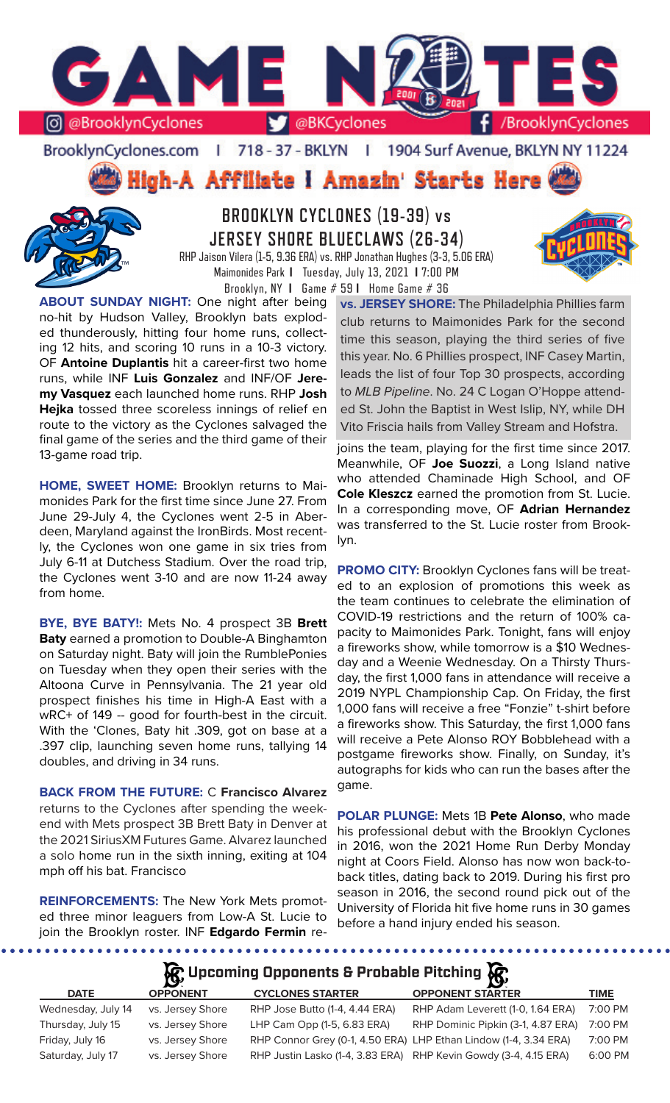

BrooklynCyclones.com | 718 - 37 - BKLYN  $\mathbf{r}$ 1904 Surf Avenue, BKLYN NY 11224

High-A Affiliate I Amazin' Starts Here



# **BROOKLYN CYCLONES (19-39) vs JERSEY SHORE BLUECLAWS (26-34)** RHP Jaison Vilera (1-5, 9.36 ERA) vs. RHP Jonathan Hughes (3-3, 5.06 ERA)

Maimonides Park **I** Tuesday, July 13, 2021 **I** 7:00 PM Brooklyn, NY **I** Game # 59 **I** Home Game # 36

**ABOUT SUNDAY NIGHT:** One night after being no-hit by Hudson Valley, Brooklyn bats exploded thunderously, hitting four home runs, collecting 12 hits, and scoring 10 runs in a 10-3 victory. OF **Antoine Duplantis** hit a career-first two home runs, while INF **Luis Gonzalez** and INF/OF **Jeremy Vasquez** each launched home runs. RHP **Josh Hejka** tossed three scoreless innings of relief en route to the victory as the Cyclones salvaged the final game of the series and the third game of their 13-game road trip.

**HOME, SWEET HOME:** Brooklyn returns to Maimonides Park for the first time since June 27. From June 29-July 4, the Cyclones went 2-5 in Aberdeen, Maryland against the IronBirds. Most recently, the Cyclones won one game in six tries from July 6-11 at Dutchess Stadium. Over the road trip, the Cyclones went 3-10 and are now 11-24 away from home.

**BYE, BYE BATY!:** Mets No. 4 prospect 3B **Brett Baty** earned a promotion to Double-A Binghamton on Saturday night. Baty will join the RumblePonies on Tuesday when they open their series with the Altoona Curve in Pennsylvania. The 21 year old prospect finishes his time in High-A East with a wRC+ of 149 -- good for fourth-best in the circuit. With the 'Clones, Baty hit .309, got on base at a .397 clip, launching seven home runs, tallying 14 doubles, and driving in 34 runs.

**BACK FROM THE FUTURE:** C **Francisco Alvarez**  returns to the Cyclones after spending the weekend with Mets prospect 3B Brett Baty in Denver at the 2021 SiriusXM Futures Game. Alvarez launched a solo home run in the sixth inning, exiting at 104 mph off his bat. Francisco

**REINFORCEMENTS:** The New York Mets promoted three minor leaguers from Low-A St. Lucie to join the Brooklyn roster. INF **Edgardo Fermin** re**vs. JERSEY SHORE:** The Philadelphia Phillies farm club returns to Maimonides Park for the second time this season, playing the third series of five this year. No. 6 Phillies prospect, INF Casey Martin, leads the list of four Top 30 prospects, according to *MLB Pipeline*. No. 24 C Logan O'Hoppe attended St. John the Baptist in West Islip, NY, while DH Vito Friscia hails from Valley Stream and Hofstra.

joins the team, playing for the first time since 2017. Meanwhile, OF **Joe Suozzi**, a Long Island native who attended Chaminade High School, and OF **Cole Kleszcz** earned the promotion from St. Lucie. In a corresponding move, OF **Adrian Hernandez** was transferred to the St. Lucie roster from Brooklyn.

**PROMO CITY:** Brooklyn Cyclones fans will be treated to an explosion of promotions this week as the team continues to celebrate the elimination of COVID-19 restrictions and the return of 100% capacity to Maimonides Park. Tonight, fans will enjoy a fireworks show, while tomorrow is a \$10 Wednesday and a Weenie Wednesday. On a Thirsty Thursday, the first 1,000 fans in attendance will receive a 2019 NYPL Championship Cap. On Friday, the first 1,000 fans will receive a free "Fonzie" t-shirt before a fireworks show. This Saturday, the first 1,000 fans will receive a Pete Alonso ROY Bobblehead with a postgame fireworks show. Finally, on Sunday, it's autographs for kids who can run the bases after the game.

**POLAR PLUNGE:** Mets 1B **Pete Alonso**, who made his professional debut with the Brooklyn Cyclones in 2016, won the 2021 Home Run Derby Monday night at Coors Field. Alonso has now won back-toback titles, dating back to 2019. During his first pro season in 2016, the second round pick out of the University of Florida hit five home runs in 30 games before a hand injury ended his season.

**Upcoming Opponents & Probable Pitching**

| <b>DATE</b>        | <b>OPPONENT</b>  | <b>CYCLONES STARTER</b>        | $\sim$<br><b>OPPONENT STARTER</b>                                | <b>TIME</b> |
|--------------------|------------------|--------------------------------|------------------------------------------------------------------|-------------|
| Wednesday, July 14 | vs. Jersey Shore | RHP Jose Butto (1-4, 4.44 ERA) | RHP Adam Leverett (1-0, 1.64 ERA)                                | 7:00 PM     |
| Thursday, July 15  | vs. Jersey Shore | LHP Cam Opp (1-5, 6.83 ERA)    | RHP Dominic Pipkin (3-1, 4.87 ERA)                               | 7:00 PM     |
| Friday, July 16    | vs. Jersey Shore |                                | RHP Connor Grey (0-1, 4.50 ERA) LHP Ethan Lindow (1-4, 3.34 ERA) | 7:00 PM     |
| Saturday, July 17  | vs. Jersey Shore |                                | RHP Justin Lasko (1-4, 3.83 ERA) RHP Kevin Gowdy (3-4, 4.15 ERA) | 6:00 PM     |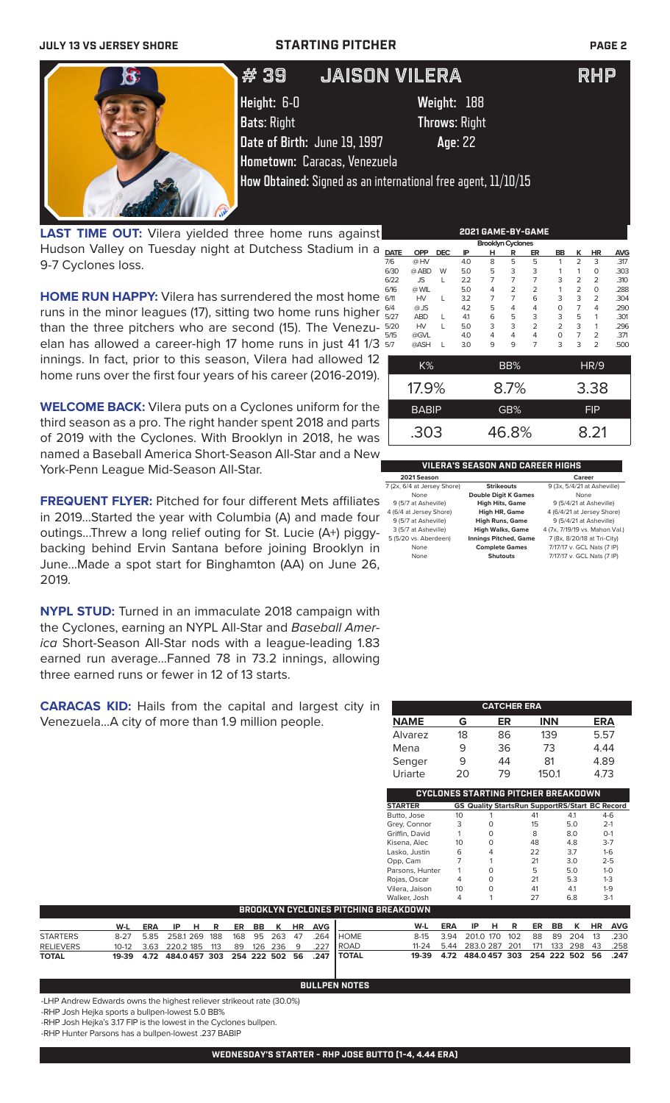**JULY 13 VS JERSEY SHORE STARTING PITCHER PAGE 2**



LAST TIME OUT: Vilera yielded three home runs against Hudson Valley on Tuesday night at Dutchess Stadium in a 9-7 Cyclones loss.

**HOME RUN HAPPY:** Vilera has surrendered the most home runs in the minor leagues (17), sitting two home runs higher than the three pitchers who are second (15). The Venezuelan has allowed a career-high 17 home runs in just 41 1/3 innings. In fact, prior to this season, Vilera had allowed 12 home runs over the first four years of his career (2016-2019).

**WELCOME BACK:** Vilera puts on a Cyclones uniform for the third season as a pro. The right hander spent 2018 and parts of 2019 with the Cyclones. With Brooklyn in 2018, he was named a Baseball America Short-Season All-Star and a New York-Penn League Mid-Season All-Star.

**FREQUENT FLYER:** Pitched for four different Mets affiliates in 2019...Started the year with Columbia (A) and made four outings...Threw a long relief outing for St. Lucie (A+) piggybacking behind Ervin Santana before joining Brooklyn in June...Made a spot start for Binghamton (AA) on June 26, 2019.

**NYPL STUD:** Turned in an immaculate 2018 campaign with the Cyclones, earning an NYPL All-Star and *Baseball America* Short-Season All-Star nods with a league-leading 1.83 earned run average...Fanned 78 in 73.2 innings, allowing three earned runs or fewer in 12 of 13 starts.

**CARACAS KID:** Hails from the capital and largest city in Venezuela...A city of more than 1.9 million people.

|             | <b>Brooklyn Cyclones</b> |            |     |   |                |                |                |                |                |            |
|-------------|--------------------------|------------|-----|---|----------------|----------------|----------------|----------------|----------------|------------|
| <b>DATE</b> | <b>OPP</b>               | <b>DEC</b> | ΙP  | н | R              | ER             | BB             | κ              | <b>HR</b>      | <b>AVG</b> |
| 7/6         | @HV                      |            | 4.0 | 8 | 5              | 5              | 1              | $\overline{2}$ | 3              | .317       |
| 6/30        | @ ABD                    | W          | 5.0 | 5 | 3              | 3              | 1              | 1              | O              | .303       |
| 6/22        | <b>JS</b>                |            | 2.2 | 7 | 7              | 7              | 3              | 2              | $\overline{2}$ | .310       |
| 6/16        | @ WIL                    |            | 5.0 | 4 | $\overline{2}$ | $\overline{2}$ | 1              | 2              | 0              | .288       |
| 6/11        | HV                       | L          | 3.2 | 7 | 7              | 6              | 3              | 3              | $\overline{2}$ | .304       |
| 6/4         | $@$ JS                   |            | 4.2 | 5 | 4              | 4              | O              | 7              | 4              | .290       |
| 5/27        | <b>ABD</b>               |            | 41  | 6 | 5              | 3              | 3              | 5              | 1              | .301       |
| 5/20        | HV                       | L          | 5.0 | 3 | 3              | $\overline{2}$ | $\overline{2}$ | 3              | 1              | .296       |
| 5/15        | @GVL                     |            | 4.0 | 4 | 4              | 4              | O              | 7              | 2              | .371       |
| 5/7         | @ASH                     | L          | 3.0 | 9 | 9              | 7              | 3              | 3              | 2              | .500       |
|             | K%                       |            |     |   | BB%            |                |                |                | HR/9           |            |
|             | 4700                     |            |     |   | ∩ ¬∩           |                |                |                | ה ה            |            |

| 17.9%        | 8.7%  | 3.38       |
|--------------|-------|------------|
| <b>BABIP</b> | GB%   | <b>FIP</b> |
| .303         | 46.8% | 8.21       |

### **VILERA'S SEASON AND CAREER HIGHS**

| 2021 Season                 |                              | Career                         |
|-----------------------------|------------------------------|--------------------------------|
| 7 (2x, 6/4 at Jersey Shore) | <b>Strikeouts</b>            | 9 (3x, 5/4/21 at Asheville)    |
| None                        | <b>Double Digit K Games</b>  | None                           |
| 9 (5/7 at Asheville)        | <b>High Hits, Game</b>       | 9 (5/4/21 at Asheville)        |
| 4 (6/4 at Jersey Shore)     | <b>High HR, Game</b>         | 4 (6/4/21 at Jersey Shore)     |
| 9 (5/7 at Asheville)        | <b>High Runs, Game</b>       | 9 (5/4/21 at Asheville)        |
| 3 (5/7 at Asheville)        | <b>High Walks, Game</b>      | 4 (7x, 7/19/19 vs. Mahon.Val.) |
| 5 (5/20 vs. Aberdeen)       | <b>Innings Pitched, Game</b> | 7 (8x, 8/20/18 at Tri-City)    |
| None                        | <b>Complete Games</b>        | 7/17/17 v. GCL Nats (7 IP)     |
| None                        | <b>Shutouts</b>              | 7/17/17 v. GCL Nats (7 IP)     |
|                             |                              |                                |

- 9 (5/7 at Asheville) **High Hits, Game** 9 (5/4/21 at Asheville) **R, Game** 4 (6/4/21 at Jersey Shore)<br>**ns, Game** 9 (5/4/21 at Asheville)
- **ched, Game** 7 (8x, 8/20/18 at Tri-City)<br>**e Games** 7/17/17 v. GCL Nats (7 IP)

|             |    | <b>CATCHER ERA</b> |            |            |
|-------------|----|--------------------|------------|------------|
| <b>NAME</b> | G  | ER                 | <b>INN</b> | <b>ERA</b> |
| Alvarez     | 18 | 86                 | 139        | 5.57       |
| Mena        | 9  | 36                 | 73         | 4.44       |
| Senger      | 9  | 44                 | 81         | 4.89       |
| Uriarte     | 20 | 79                 | 150.1      | 4.73       |

| <b>CYCLONES STARTING PITCHER BREAKDOWN</b> |    |                                                       |    |     |         |  |  |  |
|--------------------------------------------|----|-------------------------------------------------------|----|-----|---------|--|--|--|
| <b>STARTER</b>                             |    | <b>GS Quality StartsRun SupportRS/Start BC Record</b> |    |     |         |  |  |  |
| Butto, Jose                                | 10 |                                                       | 41 | 4.1 | $4-6$   |  |  |  |
| Grey, Connor                               | 3  | O                                                     | 15 | 5.0 | $2 - 1$ |  |  |  |
| Griffin, David                             |    | $\Omega$                                              | 8  | 8.0 | $O-1$   |  |  |  |
| Kisena, Alec                               | 10 | $\Omega$                                              | 48 | 4.8 | $3 - 7$ |  |  |  |
| Lasko, Justin                              | 6  | 4                                                     | 22 | 3.7 | $1-6$   |  |  |  |
| Opp, Cam                                   |    |                                                       | 21 | 3.0 | $2 - 5$ |  |  |  |
| Parsons, Hunter                            |    | O                                                     | 5  | 5.0 | $1 - 0$ |  |  |  |
| Rojas, Oscar                               | 4  | O                                                     | 21 | 5.3 | $1-3$   |  |  |  |
| Vilera, Jaison                             | 10 | O                                                     | 41 | 4.1 | $1-9$   |  |  |  |
| Walker, Josh                               | 4  |                                                       | 27 | 6.8 | $3-1$   |  |  |  |
| REAKDOWN                                   |    |                                                       |    |     |         |  |  |  |

|                  | BROOKLYN CYCLONES PITCHING BREAKDOWN |  |  |  |  |  |  |  |  |                               |                                                           |                                                       |  |  |  |  |  |                               |
|------------------|--------------------------------------|--|--|--|--|--|--|--|--|-------------------------------|-----------------------------------------------------------|-------------------------------------------------------|--|--|--|--|--|-------------------------------|
|                  |                                      |  |  |  |  |  |  |  |  | W-L ERA IP H R ER BB K HR AVG |                                                           |                                                       |  |  |  |  |  | W-L ERA IP H R ER BB K HR AVG |
| <b>STARTERS</b>  |                                      |  |  |  |  |  |  |  |  |                               | 8-27  5.85  258.1  269  188  168  95  263  47  .264  HOME | 8-15 3.94 201.0 170 102 88 89 204 13 .230             |  |  |  |  |  |                               |
| <b>RELIEVERS</b> |                                      |  |  |  |  |  |  |  |  |                               | 10-12  3.63  220.2  185  113  89  126  236  9  .227  ROAD | 11-24  5.44  283.0  287  201  171  133  298  43  .258 |  |  |  |  |  |                               |
| <b>TOTAL</b>     |                                      |  |  |  |  |  |  |  |  |                               | 19-39 4.72 484.0457 303 254 222 502 56 .247 TOTAL         | 19-39 4.72 484.0457 303 254 222 502 56 .247           |  |  |  |  |  |                               |

**BULLPEN NOTES**

-LHP Andrew Edwards owns the highest reliever strikeout rate (30.0%)

-RHP Josh Hejka sports a bullpen-lowest 5.0 BB%

-RHP Josh Hejka's 3.17 FIP is the lowest in the Cyclones bullpen.

-RHP Hunter Parsons has a bullpen-lowest .237 BABIP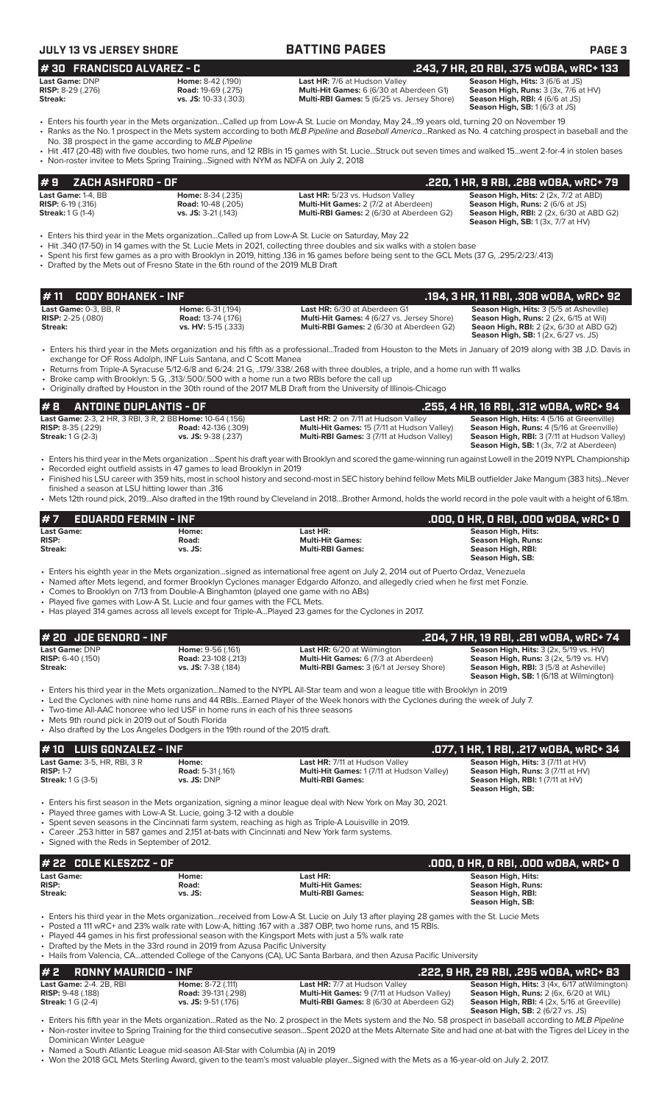| JULY 13 VS JERSEY SHORE                                                                                           |                                                                                                                                                                  | <b>BATTING PAGES</b>                                                                                                                                                                                                                                                                                                                                                           | <b>PAGE 3</b>                                                                                                                                                                      |
|-------------------------------------------------------------------------------------------------------------------|------------------------------------------------------------------------------------------------------------------------------------------------------------------|--------------------------------------------------------------------------------------------------------------------------------------------------------------------------------------------------------------------------------------------------------------------------------------------------------------------------------------------------------------------------------|------------------------------------------------------------------------------------------------------------------------------------------------------------------------------------|
| #30 FRANCISCO ALVAREZ - C<br>Last Game: DNP                                                                       | Home: 8-42 (.190)                                                                                                                                                | Last HR: 7/6 at Hudson Valley                                                                                                                                                                                                                                                                                                                                                  | .243, 7 HR, 20 RBI, .375 w0BA, wRC+ 133                                                                                                                                            |
| RISP: 8-29 (.276)<br>Streak:                                                                                      | <b>Road: 19-69 (.275)</b><br>vs. JS: 10-33 (.303)                                                                                                                | Multi-Hit Games: 6 (6/30 at Aberdeen G1)<br>Multi-RBI Games: 5 (6/25 vs. Jersey Shore)                                                                                                                                                                                                                                                                                         | Season High, Hits: 3 (6/6 at JS)<br>Season High, Runs: 3 (3x, 7/6 at HV)<br>Season High, RBI: 4 (6/6 at JS)<br>Season High, SB: 1 (6/3 at JS)                                      |
|                                                                                                                   |                                                                                                                                                                  | • Enters his fourth year in the Mets organizationCalled up from Low-A St. Lucie on Monday, May 2419 years old, turning 20 on November 19<br>• Ranks as the No. 1 prospect in the Mets system according to both MLB Pipeline and Baseball AmericaRanked as No. 4 catching prospect in baseball and the                                                                          |                                                                                                                                                                                    |
|                                                                                                                   | No. 38 prospect in the game according to MLB Pipeline<br>• Non-roster invitee to Mets Spring TrainingSigned with NYM as NDFA on July 2, 2018                     | · Hit .417 (20-48) with five doubles, two home runs, and 12 RBIs in 15 games with St. LucieStruck out seven times and walked 15went 2-for-4 in stolen bases                                                                                                                                                                                                                    |                                                                                                                                                                                    |
| ZACH ASHFORD - OF<br>#9                                                                                           |                                                                                                                                                                  |                                                                                                                                                                                                                                                                                                                                                                                | .220, 1 HR, 9 RBI, .288 wOBA, wRC+ 79                                                                                                                                              |
| Last Game: 1-4, BB<br><b>RISP:</b> 6-19 (.316)<br><b>Streak:</b> 1 G (1-4)                                        | Home: 8-34 (.235)<br><b>Road: 10-48 (.205)</b><br>vs. JS: $3-21$ (.143)                                                                                          | Last HR: 5/23 vs. Hudson Valley<br>Multi-Hit Games: 2 (7/2 at Aberdeen)<br>Multi-RBI Games: 2 (6/30 at Aberdeen G2)                                                                                                                                                                                                                                                            | Season High, Hits: 2 (2x, 7/2 at ABD)<br>Season High, Runs: 2 (6/6 at JS)<br>Season High, RBI: 2 (2x, 6/30 at ABD G2)<br><b>Season High, SB: 1 (3x, 7/7 at HV)</b>                 |
|                                                                                                                   | • Drafted by the Mets out of Fresno State in the 6th round of the 2019 MLB Draft                                                                                 | Enters his third year in the Mets organizationCalled up from Low-A St. Lucie on Saturday, May 22<br>• Hit .340 (17-50) in 14 games with the St. Lucie Mets in 2021, collecting three doubles and six walks with a stolen base<br>• Spent his first few games as a pro with Brooklyn in 2019, hitting .136 in 16 games before being sent to the GCL Mets (37 G, .295/2/23/.413) |                                                                                                                                                                                    |
| #11<br><b>CODY BOHANEK - INF</b>                                                                                  |                                                                                                                                                                  |                                                                                                                                                                                                                                                                                                                                                                                | .194, 3 HR, 11 RBI, .308 wOBA, wRC+ 92                                                                                                                                             |
| Last Game: 0-3, BB, R<br>RISP: 2-25 (.080)<br>Streak:                                                             | Home: 6-31 (.194)<br><b>Road: 13-74 (.176)</b><br>vs. HV: 5-15 (.333)                                                                                            | Last HR: 6/30 at Aberdeen G1<br>Multi-Hit Games: 4 (6/27 vs. Jersey Shore)<br>Multi-RBI Games: 2 (6/30 at Aberdeen G2)                                                                                                                                                                                                                                                         | Season High, Hits: 3 (5/5 at Asheville)<br>Season High, Runs: 2 (2x, 6/15 at Wil)<br><b>Seaon High, RBI:</b> 2 (2x, 6/30 at ABD G2)<br><b>Season High, SB:</b> 1 (2x, 6/27 vs. JS) |
|                                                                                                                   | exchange for OF Ross Adolph, INF Luis Santana, and C Scott Manea<br>Broke camp with Brooklyn: 5 G, .313/.500/.500 with a home run a two RBIs before the call up  | · Enters his third year in the Mets organization and his fifth as a professionalTraded from Houston to the Mets in January of 2019 along with 3B J.D. Davis in<br>• Returns from Triple-A Syracuse 5/12-6/8 and 6/24: 21 G, 179/.338/.268 with three doubles, a triple, and a home run with 11 walks                                                                           |                                                                                                                                                                                    |
| <b>ANTOINE DUPLANTIS - OF</b><br>#8                                                                               |                                                                                                                                                                  | • Originally drafted by Houston in the 30th round of the 2017 MLB Draft from the University of Illinois-Chicago                                                                                                                                                                                                                                                                | .255, 4 HR, 16 RBI, .312 wOBA, wRC+ 94                                                                                                                                             |
| Last Game: 2-3, 2 HR, 3 RBI, 3 R, 2 BB Home: 10-64 (.156)<br><b>RISP:</b> 8-35 (.229)<br><b>Streak: 1 G (2-3)</b> | <b>Road:</b> 42-136 (.309)<br>vs. JS: 9-38 (.237)                                                                                                                | Last HR: 2 on 7/11 at Hudson Valley<br>Multi-Hit Games: 15 (7/11 at Hudson Valley)<br>Multi-RBI Games: 3 (7/11 at Hudson Valley)                                                                                                                                                                                                                                               | Season High, Hits: 4 (5/16 at Greenville)<br>Season High, Runs: 4 (5/16 at Greenville)<br>Season High, RBI: 3 (7/11 at Hudson Valley)                                              |
|                                                                                                                   |                                                                                                                                                                  | • Enters his third year in the Mets organization Spent his draft year with Brooklyn and scored the game-winning run against Lowell in the 2019 NYPL Championship                                                                                                                                                                                                               | Season High, SB: 1 (3x, 7/2 at Aberdeen)                                                                                                                                           |
| finished a season at LSU hitting lower than .316                                                                  | • Recorded eight outfield assists in 47 games to lead Brooklyn in 2019                                                                                           | • Finished his LSU career with 359 hits, most in school history and second-most in SEC history behind fellow Mets MiLB outfielder Jake Mangum (383 hits)Never<br>• Mets 12th round pick, 2019Also drafted in the 19th round by Cleveland in 2018Brother Armond, holds the world record in the pole vault with a height of 6.18m.                                               |                                                                                                                                                                                    |
| #7<br><b>EDUARDO FERMIN - INF</b>                                                                                 |                                                                                                                                                                  |                                                                                                                                                                                                                                                                                                                                                                                | .000, 0 HR, 0 RBI, .000 w0BA, wRC+ 0                                                                                                                                               |
| <b>Last Game:</b>                                                                                                 | Home:                                                                                                                                                            | Last HR:                                                                                                                                                                                                                                                                                                                                                                       | <b>Season High, Hits:</b>                                                                                                                                                          |
| <b>RISP:</b><br>Streak:                                                                                           | Road:<br>vs. JS:                                                                                                                                                 | <b>Multi-Hit Games:</b><br><b>Multi-RBI Games:</b>                                                                                                                                                                                                                                                                                                                             | <b>Season High, Runs:</b><br>Season High, RBI:<br>Season High, SB:                                                                                                                 |
|                                                                                                                   | • Comes to Brooklyn on 7/13 from Double-A Binghamton (played one game with no ABs)<br>• Played five games with Low-A St. Lucie and four games with the FCL Mets. | • Enters his eighth year in the Mets organizationsigned as international free agent on July 2, 2014 out of Puerto Ordaz, Venezuela<br>• Named after Mets legend, and former Brooklyn Cyclones manager Edgardo Alfonzo, and allegedly cried when he first met Fonzie.<br>• Has played 314 games across all levels except for Triple-APlayed 23 games for the Cyclones in 2017.  |                                                                                                                                                                                    |
| # 20 JOE GENORD - INF<br>Last Game: DNP                                                                           | Home: 9-56 (.161)                                                                                                                                                | Last HR: 6/20 at Wilmington                                                                                                                                                                                                                                                                                                                                                    | .204, 7 HR, 19 RBI, .281 wOBA, wRC+ 74<br>Season High, Hits: 3 (2x, 5/19 vs. HV)                                                                                                   |
| <b>RISP:</b> 6-40 (.150)<br>Streak:                                                                               | <b>Road: 23-108 (.213)</b><br>vs. JS: 7-38 (.184)                                                                                                                | Multi-Hit Games: 6 (7/3 at Aberdeen)<br>Multi-RBI Games: 3 (6/1 at Jersey Shore)                                                                                                                                                                                                                                                                                               | <b>Season High, Runs: 3 (2x, 5/19 vs. HV)</b><br>Season High, RBI: 3 (5/8 at Asheville)<br><b>Season High, SB: 1 (6/18 at Wilmington)</b>                                          |
| • Mets 9th round pick in 2019 out of South Florida                                                                | • Two-time All-AAC honoree who led USF in home runs in each of his three seasons                                                                                 | • Enters his third year in the Mets organizationNamed to the NYPL All-Star team and won a league title with Brooklyn in 2019<br>• Led the Cyclones with nine home runs and 44 RBIsEarned Player of the Week honors with the Cyclones during the week of July 7.                                                                                                                |                                                                                                                                                                                    |
|                                                                                                                   | • Also drafted by the Los Angeles Dodgers in the 19th round of the 2015 draft.                                                                                   |                                                                                                                                                                                                                                                                                                                                                                                |                                                                                                                                                                                    |
| <b>LUIS GONZALEZ - INF</b><br>#10<br>Last Game: 3-5, HR, RBI, 3 R                                                 |                                                                                                                                                                  |                                                                                                                                                                                                                                                                                                                                                                                | .077, 1 HR, 1 RBI, .217 wOBA, wRC+ 34                                                                                                                                              |
| <b>RISP: 1-7</b><br><b>Streak:</b> 1 G (3-5)                                                                      | Home:<br><b>Road: 5-31 (.161)</b><br>vs. JS: DNP                                                                                                                 | Last HR: 7/11 at Hudson Valley<br>Multi-Hit Games: 1 (7/11 at Hudson Valley)<br><b>Multi-RBI Games:</b>                                                                                                                                                                                                                                                                        | Season High, Hits: 3 (7/11 at HV)<br>Season High, Runs: 3 (7/11 at HV)<br>Season High, RBI: 1 (7/11 at HV)<br>Season High, SB:                                                     |
|                                                                                                                   | • Played three games with Low-A St. Lucie, going 3-12 with a double                                                                                              | • Enters his first season in the Mets organization, signing a minor league deal with New York on May 30, 2021.                                                                                                                                                                                                                                                                 |                                                                                                                                                                                    |
| • Signed with the Reds in September of 2012.                                                                      | • Career .253 hitter in 587 games and 2,151 at-bats with Cincinnati and New York farm systems.                                                                   | • Spent seven seasons in the Cincinnati farm system, reaching as high as Triple-A Louisville in 2019.                                                                                                                                                                                                                                                                          |                                                                                                                                                                                    |
| # 22 COLE KLESZCZ - OF                                                                                            |                                                                                                                                                                  |                                                                                                                                                                                                                                                                                                                                                                                | .000, 0 HR, 0 RBI, .000 w0BA, wRC+ 0                                                                                                                                               |
| <b>Last Game:</b><br><b>RISP:</b><br>Streak:                                                                      | Home:<br>Road:<br>vs. JS:                                                                                                                                        | Last HR:<br><b>Multi-Hit Games:</b><br><b>Multi-RBI Games:</b>                                                                                                                                                                                                                                                                                                                 | <b>Season High, Hits:</b><br><b>Season High, Runs:</b><br>Season High, RBI:<br>Season High, SB:                                                                                    |
|                                                                                                                   | • Drafted by the Mets in the 33rd round in 2019 from Azusa Pacific University                                                                                    | • Enters his third year in the Mets organizationreceived from Low-A St. Lucie on July 13 after playing 28 games with the St. Lucie Mets<br>• Posted a 111 wRC+ and 23% walk rate with Low-A, hitting .167 with a .387 OBP, two home runs, and 15 RBIs.<br>• Played 44 games in his first professional season with the Kingsport Mets with just a 5% walk rate                  |                                                                                                                                                                                    |
|                                                                                                                   |                                                                                                                                                                  | • Hails from Valencia, CAattended College of the Canyons (CA), UC Santa Barbara, and then Azusa Pacific University                                                                                                                                                                                                                                                             |                                                                                                                                                                                    |
| #2<br><b>RONNY MAURICIO - INF</b><br>Last Game: 2-4. 2B, RBI                                                      | Home: 8-72 (.111)                                                                                                                                                | Last HR: 7/7 at Hudson Valley                                                                                                                                                                                                                                                                                                                                                  | .222, 9 HR, 29 RBI, .295 wOBA, wRC+ 83<br>Season High, Hits: 3 (4x, 6/17 at Wilmington)                                                                                            |
| <b>RISP: 9-48 (.188)</b><br><b>Streak: 1 G (2-4)</b>                                                              | <b>Road: 39-131 (.298)</b><br>vs. JS: 9-51 (.176)                                                                                                                | Multi-Hit Games: 9 (7/11 at Hudson Valley)<br>Multi-RBI Games: 8 (6/30 at Aberdeen G2)                                                                                                                                                                                                                                                                                         | Season High, Runs: 2 (6x, 6/20 at WIL)<br>Season High, RBI: 4 (2x, 5/16 at Greeville)                                                                                              |

• Enters his fifth year in the Mets organization...Rated as the No. 2 prospect in the Mets system and the No. 58 prospect in baseball according to *MLB Pipeline* • Non-roster invitee to Spring Training for the third consecutive season...Spent 2020 at the Mets Alternate Site and had one at-bat with the Tigres del Licey in the Dominican Winter League

• Named a South Atlantic League mid-season All-Star with Columbia (A) in 2019

• Won the 2018 GCL Mets Sterling Award, given to the team's most valuable player...Signed with the Mets as a 16-year-old on July 2, 2017.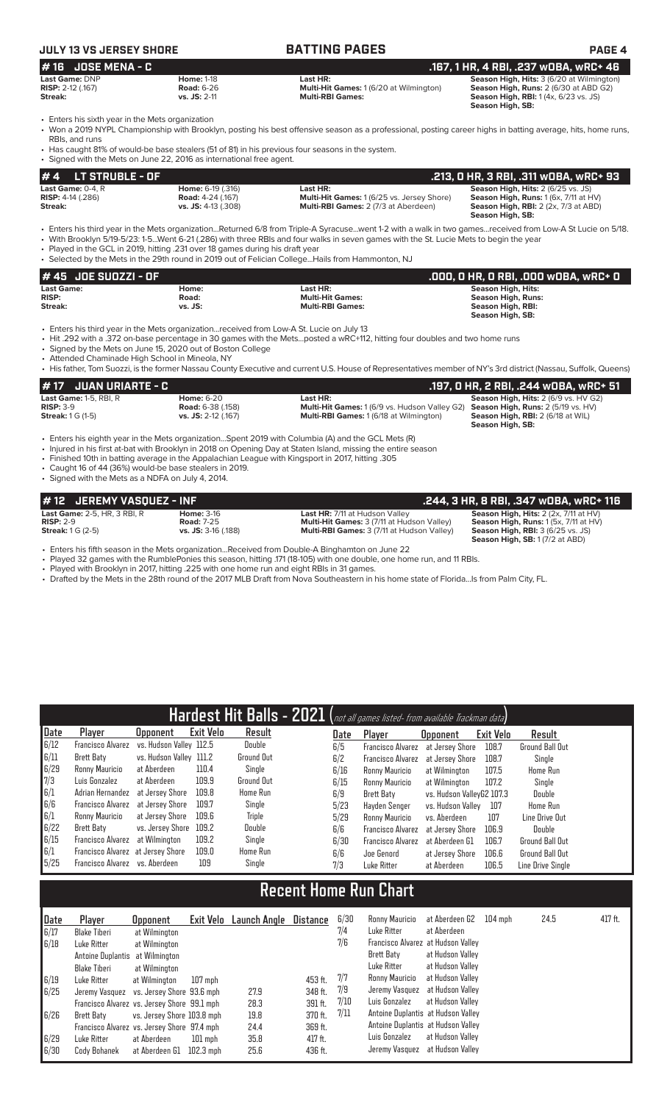# **JULY 13 VS JERSEY SHORE BATTING PAGES PAGE 4**

| # 16 JOSE MENA - C         |                   |                                                | .167, 1 HR, 4 RBI, .237 wOBA, wRC+ 46            |
|----------------------------|-------------------|------------------------------------------------|--------------------------------------------------|
| <b>Last Game: DNP</b>      | <b>Home: 1-18</b> | Last HR:                                       | <b>Season High, Hits: 3 (6/20 at Wilmington)</b> |
| <b>RISP:</b> 2-12 $(.167)$ | <b>Road: 6-26</b> | <b>Multi-Hit Games: 1 (6/20 at Wilmington)</b> | <b>Season High, Runs: 2 (6/30 at ABD G2)</b>     |
| Streak:                    | $vs.$ JS: 2-11    | <b>Multi-RBI Games:</b>                        | <b>Season High, RBI:</b> 1(4x, 6/23 vs. JS)      |
|                            |                   |                                                | Season High, SB:                                 |

• Enters his sixth year in the Mets organization

• Won a 2019 NYPL Championship with Brooklyn, posting his best offensive season as a professional, posting career highs in batting average, hits, home runs, RBIs, and runs

• Has caught 81% of would-be base stealers (51 of 81) in his previous four seasons in the system. Signed with the Mets on June 22, 2016 as international free agent.

| $# 4$ LT STRUBLE - OF         |                          |                                                   | .213, 0 HR, 3 RBI, .311 wOBA, wRC+ 93               |
|-------------------------------|--------------------------|---------------------------------------------------|-----------------------------------------------------|
| <b>Last Game:</b> $0-4$ . $R$ | <b>Home: 6-19 (.316)</b> | Last HR:                                          | <b>Season High, Hits: 2 (6/25 vs. JS)</b>           |
| <b>RISP:</b> $4-14$ (.286)    | <b>Road:</b> 4-24 (.167) | <b>Multi-Hit Games: 1 (6/25 vs. Jersey Shore)</b> | <b>Season High, Runs:</b> $1(6x, 7/11$ at $HV$ )    |
| Streak:                       | $vs.$ JS: 4-13 (.308)    | <b>Multi-RBI Games: 2 (7/3 at Aberdeen)</b>       | <b>Season High, RBI:</b> $2$ ( $2x$ , $7/3$ at ABD) |
|                               |                          |                                                   | Season High, SB:                                    |

• Enters his third year in the Mets organization...Returned 6/8 from Triple-A Syracuse...went 1-2 with a walk in two games...received from Low-A St Lucie on 5/18.

• With Brooklyn 5/19-5/23: 1-5...Went 6-21 (.286) with three RBIs and four walks in seven games with the St. Lucie Mets to begin the year

• Played in the GCL in 2019, hitting .231 over 18 games during his draft year • Selected by the Mets in the 29th round in 2019 out of Felician College...Hails from Hammonton, NJ

| # 45 JOE SUOZZI - OF |         |                         | .000, 0 HR, 0 RBI, .000 w0BA, wRC+ 0 |
|----------------------|---------|-------------------------|--------------------------------------|
| <b>Last Game:</b>    | Home:   | Last HR:                | Season High, Hits:                   |
| <b>RISP:</b>         | Road:   | <b>Multi-Hit Games:</b> | Season High, Runs:                   |
| Streak:              | vs. JS: | <b>Multi-RBI Games:</b> | Season High, RBI:                    |
|                      |         |                         | Season High, SB:                     |

• Enters his third year in the Mets organization...received from Low-A St. Lucie on July 13

• Hit .292 with a .372 on-base percentage in 30 games with the Mets...posted a wRC+112, hitting four doubles and two home runs

Signed by the Mets on June 15, 2020 out of Boston College

• Attended Chaminade High School in Mineola, NY

• His father, Tom Suozzi, is the former Nassau County Executive and current U.S. House of Representatives member of NY's 3rd district (Nassau, Suffolk, Queens)

| <i>H</i> 17 JUAN URIARTE - C  |                          |                                                                                                | .197, 0 HR, 2 RBI, .244 w0BA, wRC+ 51       |
|-------------------------------|--------------------------|------------------------------------------------------------------------------------------------|---------------------------------------------|
| <b>Last Game: 1-5, RBI, R</b> | <b>Home:</b> 6-20        | Last HR:                                                                                       | <b>Season High, Hits: 2 (6/9 vs. HV G2)</b> |
| $RISP: 3-9$                   | <b>Road:</b> 6-38 (.158) | <b>Multi-Hit Games:</b> 1 (6/9 vs. Hudson Valley G2) <b>Season High, Runs:</b> 2 (5/19 vs. HV) |                                             |
| <b>Streak: 1 G (1-5)</b>      | vs. JS: 2-12 (.167)      | <b>Multi-RBI Games: 1 (6/18 at Wilmington)</b>                                                 | <b>Season High, RBI:</b> 2 (6/18 at WIL)    |
|                               |                          |                                                                                                | Season High, SB:                            |

• Enters his eighth year in the Mets organization...Spent 2019 with Columbia (A) and the GCL Mets (R)

• Injured in his first at-bat with Brooklyn in 2018 on Opening Day at Staten Island, missing the entire season

• Finished 10th in batting average in the Appalachian League with Kingsport in 2017, hitting .305

• Caught 16 of 44 (36%) would-be base stealers in 2019.

• Signed with the Mets as a NDFA on July 4, 2014.

| # 12 JEREMY VASQUEZ - INF           |                       |                                                   | .244, 3 HR, 8 RBI, .347 wOBA, wRC+ 116                  |
|-------------------------------------|-----------------------|---------------------------------------------------|---------------------------------------------------------|
| <b>Last Game: 2-5. HR. 3 RBI. R</b> | <b>Home: 3-16</b>     | <b>Last HR: 7/11 at Hudson Valley</b>             | <b>Season High, Hits:</b> $2$ ( $2x$ , $7/11$ at $HV$ ) |
| $RISP: 2-9$                         | <b>Road: 7-25</b>     | <b>Multi-Hit Games: 3 (7/11 at Hudson Valley)</b> | <b>Season High, Runs:</b> $1(5x, 7/11$ at $HV$ )        |
| <b>Streak:</b> $1 G (2-5)$          | $vs.$ JS: 3-16 (.188) | Multi-RBI Games: 3 (7/11 at Hudson Valley)        | <b>Season High, RBI: 3 (6/25 vs. JS)</b>                |
|                                     |                       |                                                   | <b>Season High, SB:</b> 1(7/2 at ABD)                   |

• Enters his fifth season in the Mets organization...Received from Double-A Binghamton on June 22

• Played 32 games with the RumblePonies this season, hitting .171 (18-105) with one double, one home run, and 11 RBIs.

Played with Brooklyn in 2017, hitting .225 with one home run and eight RBIs in 31 games.

• Drafted by the Mets in the 28th round of the 2017 MLB Draft from Nova Southeastern in his home state of Florida...Is from Palm City, FL.

|      |                                   |                         |           |                   |      | Hardest Hit Balls - 2021 (not all games listed- from available Trackman data) |                           |           |                        |
|------|-----------------------------------|-------------------------|-----------|-------------------|------|-------------------------------------------------------------------------------|---------------------------|-----------|------------------------|
| Date | Player                            | Opponent                | Exit Velo | Result            | Date | Player                                                                        | <b>Opponent</b>           | Exit Velo | Result                 |
| 6/12 | Francisco Alvarez                 | vs. Hudson Valley 112.5 |           | Double            | 6/5  | <b>Francisco Alvarez</b>                                                      | at Jersey Shore           | 108.7     | <b>Ground Ball Out</b> |
| 6/11 | Brett Baty                        | vs. Hudson Valley 111.2 |           | <b>Ground Out</b> | 6/2  | <b>Francisco Alvarez</b>                                                      | at Jersey Shore           | 108.7     | Single                 |
| 6/29 | Ronny Mauricio                    | at Aberdeen             | 110.4     | Single            | 6/16 | Ronny Mauricio                                                                | at Wilmington             | 107.5     | Home Run               |
| 7/3  | Luis Gonzalez                     | at Aberdeen             | 109.9     | <b>Ground Out</b> | 6/15 | Ronny Mauricio                                                                | at Wilmington             | 107.2     | Single                 |
| 6/1  | Adrian Hernandez                  | at Jersey Shore         | 109.8     | Home Run          | 6/9  | Brett Baty                                                                    | vs. Hudson VallevG2 107.3 |           | <b>Double</b>          |
| 6/6  | Francisco Alvarez                 | at Jersev Shore         | 109.7     | Single            | 5/23 | Havden Senger                                                                 | vs. Hudson Vallev         | 107       | Home Run               |
| 6/1  | Ronny Mauricio                    | at Jersev Shore         | 109.6     | Triple            | 5/29 | Ronny Mauricio                                                                | vs. Aberdeen              | 107       | Line Drive Out         |
| 6/22 | Brett Baty                        | vs. Jersey Shore        | 109.2     | Double            | 6/6  | <b>Francisco Alvarez</b>                                                      | at Jersev Shore           | 106.9     | Double                 |
| 6/15 | Francisco Alvarez                 | at Wilmington           | 109.2     | Single            | 6/30 | <b>Francisco Alvarez</b>                                                      | at Aberdeen G1            | 106.7     | Ground Ball Out        |
| 6/1  | Francisco Alvarez at Jersey Shore |                         | 109.0     | Home Run          | 6/6  | Joe Genord                                                                    | at Jersey Shore           | 106.6     | <b>Ground Ball Out</b> |
| 5/25 | Francisco Alvarez vs. Aberdeen    |                         | 109       | Single            | 7/3  | Luke Ritter                                                                   | at Aberdeen               | 106.5     | Line Drive Sinale      |

# **Recent Home Run Chart**

| Date | Player                                      | <b>Opponent</b>            | Exit Velo   | Launch Angle | Distance | 6/30 | Ronny Mauricio                     | at Aberdeen G2   | $104$ mph | 24.5 | $417$ ft. |
|------|---------------------------------------------|----------------------------|-------------|--------------|----------|------|------------------------------------|------------------|-----------|------|-----------|
| 6/17 | <b>Blake Tiberi</b>                         | at Wilmington              |             |              |          | 7/4  | Luke Ritter                        | at Aberdeen      |           |      |           |
| 6/18 | Luke Ritter                                 | at Wilmington              |             |              |          | 7/6  | Francisco Alvarez at Hudson Valley |                  |           |      |           |
|      | Antoine Duplantis at Wilmington             |                            |             |              |          |      | Brett Baty                         | at Hudson Valley |           |      |           |
|      | Blake Tiberi                                | at Wilmington              |             |              |          |      | Luke Ritter                        | at Hudson Valley |           |      |           |
| 6/19 | Luke Ritter                                 | at Wilmington              | 107 mph     |              | 453 ft.  | 7/7  | Ronny Mauricio                     | at Hudson Valley |           |      |           |
| 6/25 | Jeremy Vasquez vs. Jersey Shore 93.6 mph    |                            |             | 27.9         | 348 ft.  | 7/9  | Jeremy Vasquez                     | at Hudson Valley |           |      |           |
|      | Francisco Alvarez vs. Jersey Shore 99.1 mph |                            |             | 28.3         | 391 ft.  | 7/10 | Luis Gonzalez                      | at Hudson Valley |           |      |           |
| 6/26 | Brett Baty                                  | vs. Jersev Shore 103.8 mph |             | 19.8         | 370 ft.  | 7/11 | Antoine Duplantis at Hudson Valley |                  |           |      |           |
|      | Francisco Alvarez vs. Jersey Shore 97.4 mph |                            |             | 24.4         | 369 ft.  |      | Antoine Duplantis at Hudson Valley |                  |           |      |           |
| 6/29 | Luke Ritter                                 | at Aberdeen                | $101$ mph   | 35.8         | 417 ft.  |      | Luis Gonzalez                      | at Hudson Vallev |           |      |           |
| 6/30 | Cody Bohanek                                | at Aberdeen G1             | $102.3$ mph | 25.6         | 436 ft.  |      | Jeremy Vasquez                     | at Hudson Valley |           |      |           |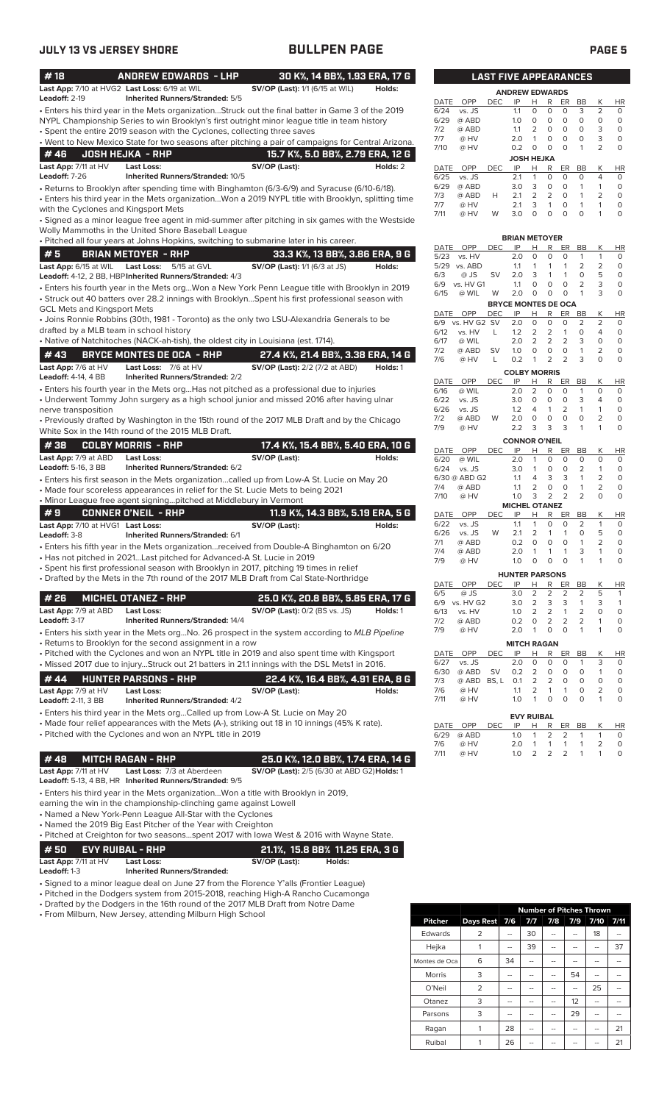| #18                                     | <b>ANDREW EDWARDS - LHP</b>                                                                         |                                        | 30 K%, 14 BB%, 1.93 ERA, 17 G               |              |               |            |            | <b>LAST FIVE APPEARANCES</b>             |                         |                           |                              |                      |
|-----------------------------------------|-----------------------------------------------------------------------------------------------------|----------------------------------------|---------------------------------------------|--------------|---------------|------------|------------|------------------------------------------|-------------------------|---------------------------|------------------------------|----------------------|
| Leadoff: 2-19                           | Last App: 7/10 at HVG2 Last Loss: 6/19 at WIL<br><b>Inherited Runners/Stranded: 5/5</b>             | <b>SV/OP (Last):</b> 1/1 (6/15 at WIL) | Holds:                                      |              |               |            |            | <b>ANDREW EDWARDS</b>                    |                         |                           |                              |                      |
|                                         | . Enters his third year in the Mets organizationStruck out the final batter in Game 3 of the 2019   |                                        |                                             | DATE<br>6/24 | OPP<br>vs. JS | <b>DEC</b> | IP<br>1.1  | R<br>H<br>$\circ$<br>0                   | ER<br>$\circ$           | BB<br>3                   | К<br>$\overline{2}$          | <b>HR</b><br>$\circ$ |
|                                         | NYPL Championship Series to win Brooklyn's first outright minor league title in team history        |                                        |                                             | 6/29         | @ ABD         |            | 1.0        | 0<br>$\circ$                             | $\circ$                 | $\circ$                   | $\circ$                      | $\circ$              |
|                                         | • Spent the entire 2019 season with the Cyclones, collecting three saves                            |                                        |                                             | 7/2          | @ ABD         |            | 1.1        | 2<br>0                                   | $\circ$                 | $\circ$                   | 3                            | $\circ$              |
|                                         | . Went to New Mexico State for two seasons after pitching a pair of campaigns for Central Arizona.  |                                        |                                             | 7/7          | @ HV          |            | 2.0        | $\circ$<br>1                             | $\circ$                 | $\circ$                   | 3                            | $\circ$              |
| #46                                     | <b>JOSH HEJKA - RHP</b>                                                                             |                                        | 15.7 K%, 5.0 BB%, 2.79 ERA, 12 G            | 7/10         | @ HV          |            | 0.2        | $\circ$<br>$\circ$                       | $\circ$                 | $\mathbf{1}$              | 2                            | $\circ$              |
| Last App: 7/11 at HV                    | <b>Last Loss:</b>                                                                                   | SV/OP (Last):                          | Holds: 2                                    |              |               |            |            | <b>JOSH HEJKA</b>                        |                         |                           |                              |                      |
| Leadoff: $7-26$                         | Inherited Runners/Stranded: 10/5                                                                    |                                        |                                             | DATE<br>6/25 | OPP<br>vs. JS | DEC        | IP<br>2.1  | н<br>R<br>$\mathbf{1}$<br>$\circ$        | ER<br>$\circ$           | BB<br>$\circ$             | К<br>$\overline{4}$          | <b>HR</b><br>$\circ$ |
|                                         | • Returns to Brooklyn after spending time with Binghamton (6/3-6/9) and Syracuse (6/10-6/18).       |                                        |                                             | 6/29         | @ ABD         |            | 3.0        | 3<br>$\circ$                             | $\circ$                 | $\mathbf{1}$              | $\mathbf{1}$                 | $\circ$              |
|                                         | • Enters his third year in the Mets organizationWon a 2019 NYPL title with Brooklyn, splitting time |                                        |                                             | 7/3          | @ ABD         | H          | 2.1        | 2<br>2                                   | $\circ$                 | $\mathbf{1}$              | 2                            | $\circ$              |
| with the Cyclones and Kingsport Mets    |                                                                                                     |                                        |                                             | 7/7          | @ HV          |            | 2.1        | 3<br>$\mathbf{1}$                        | $\circ$                 | $\mathbf{1}$              | $\mathbf{1}$                 | $\mathbf 0$          |
|                                         | · Signed as a minor league free agent in mid-summer after pitching in six games with the Westside   |                                        |                                             | 7/11         | @ HV          | W          | 3.0        | $\circ$<br>$\Omega$                      | $\Omega$                | $\Omega$                  | $\mathbf{1}$                 | $\circ$              |
|                                         | Wolly Mammoths in the United Shore Baseball League                                                  |                                        |                                             |              |               |            |            |                                          |                         |                           |                              |                      |
|                                         | . Pitched all four years at Johns Hopkins, switching to submarine later in his career.              |                                        |                                             |              |               |            |            | <b>BRIAN METOYER</b>                     |                         |                           |                              |                      |
| #5                                      | <b>BRIAN METOYER - RHP</b>                                                                          |                                        | 33.3 K%, 13 BB%, 3.86 ERA, 9 G              | DATE<br>5/23 | OPP<br>vs. HV | <b>DEC</b> | ΙP<br>2.0  | н<br>R<br>$\circ$<br>$\circ$             | ER<br>$\circ$           | BB<br>$\overline{1}$      | К<br>$\mathbf{1}$            | HR<br>$\circ$        |
|                                         | Last App: 6/15 at WIL Last Loss: 5/15 at GVL                                                        | <b>SV/OP (Last):</b> 1/1 (6/3 at JS)   | Holds:                                      | 5/29         | vs. ABD       |            | 1.1        | 1<br>1                                   | $\mathbf{1}$            | 2                         | 2                            | $\circ$              |
|                                         | Leadoff: 4-12, 2 BB, HBP Inherited Runners/Stranded: 4/3                                            |                                        |                                             | 6/3          | @ JS          | <b>SV</b>  | 2.0        | 3<br>1                                   | $\mathbf{1}$            | 0                         | 5                            | $\circ$              |
|                                         | · Enters his fourth year in the Mets orgWon a New York Penn League title with Brooklyn in 2019      |                                        |                                             | 6/9          | vs. HV G1     |            | 1.1        | $\circ$<br>0                             | $\circ$                 | 2                         | 3                            | $\circ$              |
|                                         | • Struck out 40 batters over 28.2 innings with BrooklynSpent his first professional season with     |                                        |                                             | 6/15         | @ WIL         | W          | 2.0        | 0<br>$\circ$                             | $\circ$                 | $\mathbf{1}$              | 3                            | $\circ$              |
| <b>GCL Mets and Kingsport Mets</b>      |                                                                                                     |                                        |                                             |              | DATE OPP      | <b>DEC</b> | IP         | <b>BRYCE MONTES DE OCA</b><br>H<br>R     | ER                      | BB                        | К                            | <b>HR</b>            |
|                                         | • Joins Ronnie Robbins (30th, 1981 - Toronto) as the only two LSU-Alexandria Generals to be         |                                        |                                             | 6/9          | vs. HV G2 SV  |            | 2.0        | $\circ$<br>$\circ$                       | $\circ$                 | $\overline{2}$            | $\overline{2}$               | $\circ$              |
| drafted by a MLB team in school history |                                                                                                     |                                        |                                             | 6/12         | vs. HV        | L          | 1.2        | 2<br>2                                   | $\mathbf{1}$            | $\circ$                   | $\overline{4}$               | $\circ$              |
|                                         | • Native of Natchitoches (NACK-ah-tish), the oldest city in Louisiana (est. 1714).                  |                                        |                                             | 6/17         | @ WIL         |            | 2.0        | 2<br>2                                   | $\overline{2}$          | 3                         | $\mathsf O$                  | $\circ$              |
| #43                                     | <b>BRYCE MONTES DE OCA - RHP</b>                                                                    |                                        | 27.4 K%, 21.4 BB%, 3.38 ERA, 14 G           | 7/2          | @ ABD         | <b>SV</b>  | 1.0        | $\circ$<br>$\circ$                       | $\circ$                 | $\mathbf{1}$              | $\overline{2}$               | $\circ$              |
| Last App: 7/6 at HV                     | Last Loss: 7/6 at HV                                                                                | <b>SV/OP (Last):</b> 2/2 (7/2 at ABD)  | Holds: 1                                    | 7/6          | @ HV          | L          | 0.2        | 2<br>$\mathbf{1}$                        | 2                       | 3                         | $\Omega$                     | $\mathbf 0$          |
| <b>Leadoff: 4-14, 4 BB</b>              | <b>Inherited Runners/Stranded: 2/2</b>                                                              |                                        |                                             |              |               |            |            | <b>COLBY MORRIS</b>                      |                         |                           |                              |                      |
|                                         | • Enters his fourth year in the Mets org Has not pitched as a professional due to injuries          |                                        |                                             | DATE<br>6/16 | OPP<br>@ WIL  | <b>DEC</b> | IP<br>2.0  | R<br>н<br>$\overline{2}$<br>0            | ER<br>$\circ$           | BB<br>$\mathbf{1}$        | К<br>$\circ$                 | <b>HR</b><br>$\circ$ |
|                                         | • Underwent Tommy John surgery as a high school junior and missed 2016 after having ulnar           |                                        |                                             | 6/22         | vs. JS        |            | 3.0        | 0<br>0                                   | $\mathsf O$             | 3                         | $\overline{4}$               | $\circ$              |
| nerve transposition                     |                                                                                                     |                                        |                                             | 6/26         | vs. JS        |            | 1.2        | $\mathbf{1}$<br>4                        | 2                       | 1                         | $\mathbf{1}$                 | $\circ$              |
|                                         | • Previously drafted by Washington in the 15th round of the 2017 MLB Draft and by the Chicago       |                                        |                                             | 7/2          | @ ABD         | W          | 2.0        | $\mathbf 0$<br>0                         | $\circ$                 | $\circ$                   | $\overline{2}$               | $\mathbf 0$          |
|                                         | White Sox in the 14th round of the 2015 MLB Draft.                                                  |                                        |                                             | 7/9          | @ HV          |            | 2.2        | 3<br>3                                   | 3                       | $\mathbf{1}$              | $\mathbf{1}$                 | $\mathbf 0$          |
| #38                                     | <b>COLBY MORRIS - RHP</b>                                                                           |                                        | 17.4 K%, 15.4 BB%, 5.40 ERA, 10 G           |              |               |            |            | <b>CONNOR O'NEIL</b>                     |                         |                           |                              |                      |
| Last App: 7/9 at ABD                    | <b>Last Loss:</b>                                                                                   | SV/OP (Last):                          | Holds:                                      | DATE         | OPP<br>@ WIL  | <b>DEC</b> | IP<br>2.0  | Н<br>R<br>$\circ$<br>$\mathbf{1}$        | ER<br>$\circ$           | BB<br>$\circ$             | К<br>$\circ$                 | HR<br>$\circ$        |
| <b>Leadoff: 5-16, 3 BB</b>              | Inherited Runners/Stranded: 6/2                                                                     |                                        |                                             | 6/20<br>6/24 | vs. JS        |            | 3.0        | $\mathbf{1}$<br>0                        | $\circ$                 | 2                         | $\mathbf{1}$                 | $\circ$              |
|                                         | • Enters his first season in the Mets organizationcalled up from Low-A St. Lucie on May 20          |                                        |                                             |              | 6/30 @ ABD G2 |            | 1.1        | 4<br>3                                   | 3                       | $\mathbf{1}$              | 2                            | $\circ$              |
|                                         | • Made four scoreless appearances in relief for the St. Lucie Mets to being 2021                    |                                        |                                             | 7/4          | @ ABD         |            | 1.1        | $\overline{2}$<br>$\circ$                | $\circ$                 | $\mathbf{1}$              | $\overline{2}$               | $\circ$              |
|                                         | • Minor League free agent signingpitched at Middlebury in Vermont                                   |                                        |                                             | 7/10         | @ HV          |            | 1.0        | 2<br>3                                   | $\overline{2}$          | $\overline{2}$            | $\Omega$                     | $\mathsf O$          |
| #9                                      | <b>CONNER O'NEIL - RHP</b>                                                                          |                                        | 11.9 K%, 14.3 BB%, 5.19 ERA, 5 G            | DATE         | OPP           | <b>DEC</b> | IP         | <b>MICHEL OTANEZ</b><br>Н<br>R           | ER                      | BB                        | К                            | <b>HR</b>            |
| Last App: 7/10 at HVG1 Last Loss:       |                                                                                                     | SV/OP (Last):                          | Holds:                                      | 6/22         | vs. JS        |            | 1.1        | $\mathbf 0$<br>$\mathbf{1}$              | $\mathbf 0$             | 2                         | $\mathbf{1}$                 | $\circ$              |
| Leadoff: 3-8                            | Inherited Runners/Stranded: 6/1                                                                     |                                        |                                             | 6/26         | vs. JS        | W          | 2.1        | 2<br>1                                   | $\mathbf{1}$            | 0                         | 5                            | $\circ$              |
|                                         | • Enters his fifth year in the Mets organizationreceived from Double-A Binghamton on 6/20           |                                        |                                             | 7/1          | @ ABD         |            | 0.2        | $\circ$<br>0                             | $\circ$                 |                           | $\overline{2}$               | $\circ$              |
|                                         | • Has not pitched in 2021Last pitched for Advanced-A St. Lucie in 2019                              |                                        |                                             | 7/4<br>7/9   | @ ABD<br>@ HV |            | 2.0<br>1.0 | $\mathbf{1}$<br>1<br>$\circ$<br>$\Omega$ | $\mathbf{1}$<br>$\circ$ | 3<br>$\mathbf{1}$         | $\mathbf{1}$<br>$\mathbf{1}$ | $\circ$<br>$\circ$   |
|                                         | • Spent his first professional season with Brooklyn in 2017, pitching 19 times in relief            |                                        |                                             |              |               |            |            |                                          |                         |                           |                              |                      |
|                                         | • Drafted by the Mets in the 7th round of the 2017 MLB Draft from Cal State-Northridge              |                                        |                                             |              |               |            |            | <b>HUNTER PARSONS</b>                    |                         |                           |                              |                      |
|                                         |                                                                                                     |                                        |                                             | DATE<br>6/5  | OPP<br>@ JS   | DEC        | IP<br>3.0  | R<br>н<br>2<br>2                         | ER<br>2                 | BB<br>2                   | К<br>5                       | HR<br>$\mathbf{1}$   |
| #26                                     | <b>MICHEL OTANEZ - RHP</b>                                                                          |                                        | 25.0 K%, 20.8 BB%, 5.85 ERA, 17 G           | 6/9          | vs. HV G2     |            | 3.0        | 3<br>$\overline{2}$                      | 3                       | 1                         | 3                            | $\mathbf{1}$         |
| Last App: 7/9 at ABD                    | <b>Last Loss:</b>                                                                                   | <b>SV/OP (Last): 0/2 (BS vs. JS)</b>   | Holds: 1                                    | 6/13         | vs. HV        |            | 1.0        | 2<br>2                                   | $\mathbf{1}$            | 2                         | 0                            | $\circ$              |
| Leadoff: 3-17                           | <b>Inherited Runners/Stranded: 14/4</b>                                                             |                                        |                                             | 7/2          | @ ABD         |            | 0.2        | $\overline{2}$<br>0                      | $\overline{2}$          | 2                         | 1                            | $\circ$              |
|                                         | • Enters his sixth year in the Mets orgNo. 26 prospect in the system according to MLB Pipeline      |                                        |                                             | 7/9          | @ HV          |            | 2.0        | $\circ$<br>1                             | $\circ$                 | $\mathbf{1}$              | $\mathbf{1}$                 | $\circ$              |
|                                         | • Returns to Brooklyn for the second assignment in a row                                            |                                        |                                             |              |               |            |            | <b>MITCH RAGAN</b>                       |                         |                           |                              |                      |
|                                         | • Pitched with the Cyclones and won an NYPL title in 2019 and also spent time with Kingsport        |                                        |                                             | DATE<br>6/27 | OPP<br>vs. JS | DEC        | IP<br>2.0  | Н<br>R<br>0<br>0                         | ER<br>$\circ$           | <b>BB</b><br>$\mathbf{1}$ | К<br>3                       | <b>HR</b><br>0       |
|                                         | • Missed 2017 due to injuryStruck out 21 batters in 21.1 innings with the DSL Mets1 in 2016.        |                                        |                                             | 6/30         | @ ABD         | <b>SV</b>  | 0.2        | $\overline{2}$<br>0                      | $\mathsf{O}\xspace$     | 0                         | $\mathbf{1}$                 | 0                    |
| #44                                     | <b>HUNTER PARSONS - RHP</b>                                                                         |                                        | 22.4 K%, 16.4 BB%, 4.91 ERA, 8 G            | 7/3          | @ ABD BS, L   |            | 0.1        | $\overline{2}$<br>2                      | $\circ$                 | 0                         | $\circ$                      | 0                    |
| Last App: 7/9 at HV                     | <b>Last Loss:</b>                                                                                   | SV/OP (Last):                          | Holds:                                      | 7/6          | @ HV          |            | 1.1        | 2<br>1                                   | $\mathbf{1}$            | 0                         | $\overline{2}$               | $\mathsf O$          |
| Leadoff: 2-11, 3 BB                     | <b>Inherited Runners/Stranded: 4/2</b>                                                              |                                        |                                             | 7/11         | @ HV          |            | 1.0        | $\circ$<br>$\mathbf{1}$                  | $\circ$                 | $\circ$                   | $\mathbf{1}$                 | $\circ$              |
|                                         | • Enters his third year in the Mets orgCalled up from Low-A St. Lucie on May 20                     |                                        |                                             |              |               |            |            | <b>EVY RUIBAL</b>                        |                         |                           |                              |                      |
|                                         | • Made four relief appearances with the Mets (A-), striking out 18 in 10 innings (45% K rate).      |                                        |                                             | DATE         | OPP           | DEC        | IP         | н<br>R                                   | ER                      | BB                        | К                            | HR                   |
|                                         | • Pitched with the Cyclones and won an NYPL title in 2019                                           |                                        |                                             | 6/29         | @ ABD         |            | 1.0        | 2<br>$\mathbf{1}$                        | 2                       | $\mathbf{1}$              | $\mathbf{1}$                 | $\circ$              |
|                                         |                                                                                                     |                                        |                                             | 7/6          | @ HV          |            | 2.0        | $\mathbf{1}$<br>1                        | 1                       | 1                         | $\overline{2}$               | 0                    |
| #48                                     | <b>MITCH RAGAN - RHP</b>                                                                            |                                        | 25.0 K%, 12.0 BB%, 1.74 ERA, 14 G           | 7/11         | @ HV          |            | 1.0        | 2<br>2                                   | $\overline{2}$          | $\mathbf{1}$              | $\mathbf{1}$                 | $\circ$              |
| Last App: 7/11 at HV                    | Last Loss: 7/3 at Aberdeen                                                                          |                                        | SV/OP (Last): 2/5 (6/30 at ABD G2) Holds: 1 |              |               |            |            |                                          |                         |                           |                              |                      |
|                                         | Leadoff: 5-13, 4 BB, HR Inherited Runners/Stranded: 9/5                                             |                                        |                                             |              |               |            |            |                                          |                         |                           |                              |                      |
|                                         | • Enters his third year in the Mets organizationWon a title with Brooklyn in 2019,                  |                                        |                                             |              |               |            |            |                                          |                         |                           |                              |                      |
|                                         | earning the win in the championship-clinching game against Lowell                                   |                                        |                                             |              |               |            |            |                                          |                         |                           |                              |                      |
|                                         | • Named a New York-Penn League All-Star with the Cyclones                                           |                                        |                                             |              |               |            |            |                                          |                         |                           |                              |                      |
|                                         | • Named the 2019 Big East Pitcher of the Year with Creighton                                        |                                        |                                             |              |               |            |            |                                          |                         |                           |                              |                      |
|                                         | . Pitched at Creighton for two seasonsspent 2017 with lowa West & 2016 with Wayne State.            |                                        |                                             |              |               |            |            |                                          |                         |                           |                              |                      |
| #50                                     | <b>EVY RUIBAL - RHP</b>                                                                             |                                        | 21.1%, 15.8 BB% 11.25 ERA, 3 G              |              |               |            |            |                                          |                         |                           |                              |                      |
| Last App: 7/11 at HV                    | Last Loss:                                                                                          | SV/OP (Last):                          | Holds:                                      |              |               |            |            |                                          |                         |                           |                              |                      |

**Leadoff:** 1-3 **Inherited Runners/Stranded:**

• Signed to a minor league deal on June 27 from the Florence Y'alls (Frontier League)

• Pitched in the Dodgers system from 2015-2018, reaching High-A Rancho Cucamonga

• Drafted by the Dodgers in the 16th round of the 2017 MLB Draft from Notre Dame

• From Milburn, New Jersey, attending Milburn High School

|                |               | <b>Number of Pitches Thrown</b> |     |     |     |      |      |  |  |  |
|----------------|---------------|---------------------------------|-----|-----|-----|------|------|--|--|--|
| <b>Pitcher</b> | Days Rest 7/6 |                                 | 7/7 | 7/8 | 7/9 | 7/10 | 7/11 |  |  |  |
| Edwards        | 2             |                                 | 30  |     |     | 18   |      |  |  |  |
| Hejka          |               | --                              | 39  | --  | --  |      | 37   |  |  |  |
| Montes de Oca  | 6             | 34                              |     |     |     |      |      |  |  |  |
| <b>Morris</b>  | 3             |                                 |     |     | 54  |      |      |  |  |  |
| O'Neil         | 2             | --                              |     |     |     | 25   |      |  |  |  |
| Otanez         | 3             |                                 |     |     | 12  |      |      |  |  |  |
| Parsons        | 3             | --                              |     | --  | 29  |      |      |  |  |  |
| Ragan          |               | 28                              |     |     |     |      | 21   |  |  |  |
| Ruibal         |               | 26                              |     |     |     |      | 21   |  |  |  |

|      |        | <b>LAST FIVE APPEARANCES</b> |                       |                |                |          |           |                |           |
|------|--------|------------------------------|-----------------------|----------------|----------------|----------|-----------|----------------|-----------|
|      |        |                              | <b>ANDREW EDWARDS</b> |                |                |          |           |                |           |
| DATE | OPP    | <b>DEC</b>                   | IP                    | н              | R              | ER       | <b>BB</b> | Κ              | <b>HR</b> |
| 6/24 | vs. JS |                              | 1.1                   | $\Omega$       | 0              | O        | 3         | $\overline{2}$ | 0         |
| 6/29 | @ ABD  |                              | 1.0                   | $\Omega$       | 0              | O        | O         | O              | 0         |
| 7/2  | @ ABD  |                              | 1.1                   | $\overline{2}$ | 0              | O        | O         | 3              | 0         |
| 7/7  | @ HV   |                              | 2.0                   | 1              | $\Omega$       | O        | O         | 3              | 0         |
| 7/10 | @ HV   |                              | 0.2                   | O              | $\Omega$       | $\Omega$ | 1         | $\overline{2}$ | $\Omega$  |
|      |        |                              | <b>JOSH HEJKA</b>     |                |                |          |           |                |           |
| DATE | OPP    | <b>DEC</b>                   | IP                    | н              | R              | ER       | ВB        | K              | <b>HR</b> |
| 6/25 | vs. JS |                              | 2.1                   | 1              | $\Omega$       | $\Omega$ | $\Omega$  | 4              | $\Omega$  |
| 6/29 | @ ABD  |                              | 3.0                   | 3              | 0              | O        | 1         | 1              | 0         |
| 7/3  | @ ABD  | н                            | 2.1                   | $\overline{2}$ | $\overline{2}$ | $\Omega$ | 1         | 2              | $\Omega$  |
| 7/7  | @ HV   |                              | 2.1                   | 3              | 1              | O        | 1         | 1              | O         |
| 7/11 | @ HV   | W                            | 3.0                   | $\Omega$       | $\Omega$       | O        | O         |                | 0         |
|      |        |                              |                       |                |                |          |           |                |           |

|             |               |            | <b>BRIAN METOYER</b>       |                |                |                |                |                |           |
|-------------|---------------|------------|----------------------------|----------------|----------------|----------------|----------------|----------------|-----------|
| <b>DATE</b> | OPP           | <b>DEC</b> | IP                         | Н              | R              | ER             | <b>BB</b>      | Κ              | ΗR        |
| 5/23        | vs. HV        |            | 2.0                        | O              | O              | 0              | 1              | 1              | $\Omega$  |
| 5/29        | vs. ABD       |            | 1.1                        | 1              | 1              | 1              | $\overline{2}$ | $\overline{2}$ | 0         |
| 6/3         | @ JS          | <b>SV</b>  | 2.0                        | 3              | 1              | 1              | $\Omega$       | 5              | $\Omega$  |
| 6/9         | vs. HV G1     |            | 1.1                        | $\Omega$       | $\overline{O}$ | 0              | $\overline{2}$ | 3              | 0         |
| 6/15        | @ WIL         | W          | 2.0                        | $\Omega$       | O              | 0              | 1              | 3              | $\Omega$  |
|             |               |            | <b>BRYCE MONTES DE OCA</b> |                |                |                |                |                |           |
| <b>DATE</b> | OPP           | <b>DEC</b> | IP                         | Н              | R              | ER             | <b>BB</b>      | Κ              | <b>HR</b> |
| 6/9         | vs. HV G2     | SV         | 2.0                        | $\overline{O}$ | $\Omega$       | 0              | $\overline{2}$ | $\overline{2}$ | 0         |
| 6/12        | vs. HV        | L          | 1.2                        | $\overline{2}$ | $\overline{2}$ | 1              | 0              | 4              | 0         |
| 6/17        | @ WIL         |            | 2.0                        | $\overline{2}$ | $\overline{2}$ | $\overline{2}$ | 3              | 0              | 0         |
| 7/2         | @ ABD         | SV         | 1.0                        | $\overline{O}$ | $\Omega$       | $\Omega$       | 1              | $\overline{2}$ | 0         |
| 7/6         | @ HV          | L          | 0.2                        | 1              | $\overline{2}$ | $\overline{2}$ | 3              | O              | 0         |
|             |               |            | <b>COLBY MORRIS</b>        |                |                |                |                |                |           |
| <b>DATE</b> | OPP           | <b>DEC</b> | IP                         | н              | R              | ER             | <b>BB</b>      | Κ              | ΗR        |
| 6/16        | @ WIL         |            | 2.0                        | $\overline{2}$ | 0              | $\Omega$       | 1              | O              | O         |
| 6/22        | vs. JS        |            | 3.0                        | $\Omega$       | 0              | $\Omega$       | 3              | 4              | 0         |
| 6/26        | vs. JS        |            | 1.2                        | 4              | 1              | $\overline{2}$ | 1              | 1              | 0         |
| 7/2         | @ ABD         | W          | 2.0                        | $\Omega$       | 0              | $\Omega$       | $\Omega$       | $\overline{2}$ | 0         |
| 7/9         | @ HV          |            | 2.2                        | 3              | 3              | 3              | 1              | 1              | O         |
|             |               |            | <b>CONNOR O'NEIL</b>       |                |                |                |                |                |           |
| <b>DATE</b> | OPP           | <b>DEC</b> | IP                         | H              | R              | ER             | <b>BB</b>      | K              | <b>HR</b> |
| 6/20        | @ WIL         |            | 2.0                        | 1              | 0              | 0              | 0              | 0              | 0         |
| 6/24        | vs. JS        |            | 3.0                        | 1              | $\Omega$       | 0              | $\overline{2}$ | 1              | $\Omega$  |
|             | 6/30 @ ABD G2 |            | 1.1                        | 4              | 3              | 3              | 1              | $\overline{2}$ | 0         |
| 7/4         | @ ABD         |            | 1.1                        | $\overline{2}$ | O              | 0              | 1              | $\overline{2}$ | $\Omega$  |
| 7/10        | @ HV          |            | 1.0                        | 3              | $\overline{2}$ | $\overline{2}$ | $\overline{2}$ | $\Omega$       | $\Omega$  |
|             |               |            | <b>MICHEL</b>              |                | <b>OTANEZ</b>  |                |                |                |           |
| <b>DATE</b> | OPP           | <b>DEC</b> | IP                         | H              | R              | ER             | <b>BB</b>      | K              | HR        |
| 6/22        | vs. JS        |            | 1.1                        | 1              | 0              | 0              | 2              | 1              | 0         |
| 6/26        | vs. JS        | W          | 2.1                        | $\overline{2}$ | 1              | 1              | 0              | 5              | $\Omega$  |
| 7/1         | @ ABD         |            | 0.2                        | $\Omega$       | O              | 0              | 1              | 2              | $\Omega$  |
| 7/4         | @ ABD         |            | 2.0                        | 1              | 1              | 1              | 3              | 1              | O         |
| 7/9         | @ HV          |            | 1.0                        | O              | O              | $\Omega$       | 1              | 1              | $\Omega$  |

|             | <b>HUNTER PARSONS</b> |      |            |                |                |               |               |   |           |  |  |  |
|-------------|-----------------------|------|------------|----------------|----------------|---------------|---------------|---|-----------|--|--|--|
| <b>DATE</b> | OPP                   | DEC. | IP         | н              | R              | ER            | <b>BB</b>     | K | <b>HR</b> |  |  |  |
| 6/5         | $@$ JS                |      | 3.0        | $\overline{2}$ | $\overline{2}$ | $\mathcal{L}$ | $\mathcal{L}$ | 5 |           |  |  |  |
| 6/9         | vs. HV G2             |      | 3.0        | 2              | $\mathbf{3}$   | 3             | 1             | 3 |           |  |  |  |
| 6/13        | vs. HV                |      | 1 $\Omega$ | 2              | $\mathcal{L}$  | 1             | $\mathcal{L}$ | C | O         |  |  |  |
| 7/2         | @ ABD                 |      | 02         | O              | $\overline{2}$ | $\mathcal{P}$ | $\mathcal{P}$ |   | O         |  |  |  |
| 7/9         | @ HV                  |      | 2 O        |                | O              | O             |               |   |           |  |  |  |

|      | <b>MITCH RAGAN</b> |            |                   |                |                |                |           |                |           |  |
|------|--------------------|------------|-------------------|----------------|----------------|----------------|-----------|----------------|-----------|--|
| DATE | <b>OPP</b>         | <b>DEC</b> | IP                | н              | R              | ER             | <b>BB</b> | К              | <b>HR</b> |  |
| 6/27 | vs. JS             |            | 2.0               | O              | 0              | O              | 1         | 3              | O         |  |
| 6/30 | @ ABD              | <b>SV</b>  | 0.2               | 2              | Ο              | Ο              | 0         | 1              | O         |  |
| 7/3  | @ ABD              | BS.L       | 0.1               | 2              | 2              | Ο              | 0         | $\Omega$       | O         |  |
| 7/6  | @ HV               |            | 1.1               | $\overline{2}$ | 1              | 1              | 0         | $\overline{2}$ | O         |  |
| 7/11 | @ HV               |            | 1.0               | 1              | 0              | O              | 0         | 1              | O         |  |
|      |                    |            | <b>EVY RUIBAL</b> |                |                |                |           |                |           |  |
| DATE | OPP                | <b>DEC</b> | IP                | н              | R              | ER             | <b>BB</b> | K              | <b>HR</b> |  |
| 6/29 | @ ABD              |            | 1.0               | 1              | 2              | 2              | 1         | 1              | $\Omega$  |  |
| 7/6  | @ HV               |            | 2.0               | 1              | 1              | 1              | 1         | 2              | $\Omega$  |  |
| 7/11 | @ HV               |            | 1.0               | $\mathcal{P}$  | $\overline{2}$ | $\overline{2}$ | 1         |                | $\Omega$  |  |
|      |                    |            |                   |                |                |                |           |                |           |  |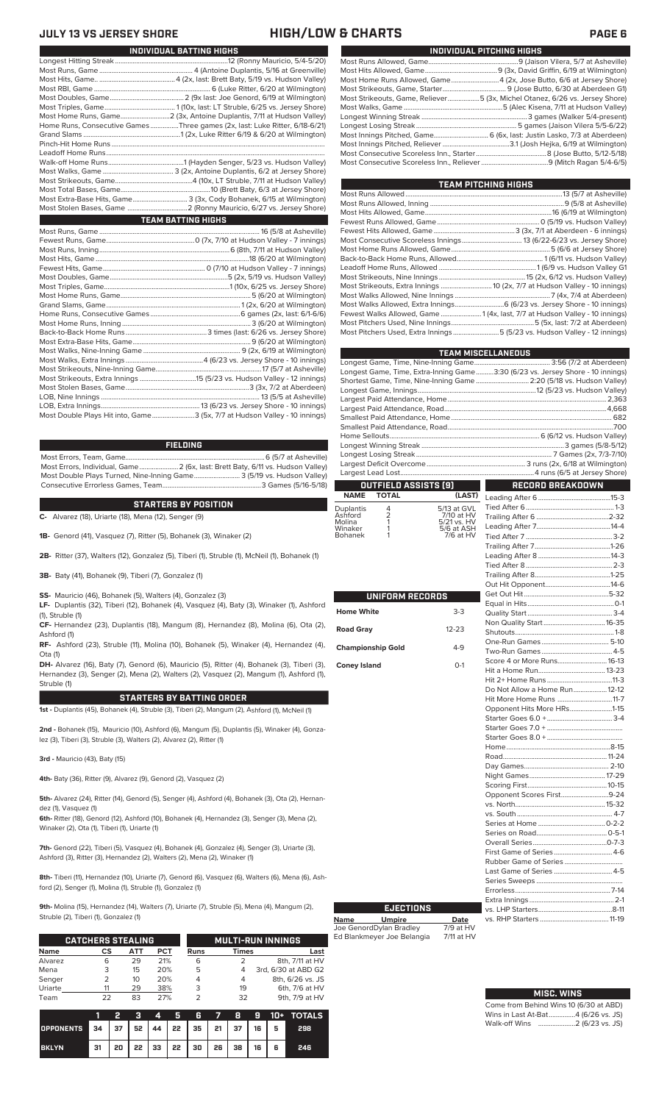### **JULY 13 VS JERSEY SHORE HIGH/LOW & CHARTS PAGE 6**

**Name Umpire Date** Joe GenordDylan Bradley 7/9 at HV Ed Blankmeyer Joe Belangia 7/11 at HV

| INDIVIDUAL PITCHING HIGHS                                                   |
|-----------------------------------------------------------------------------|
|                                                                             |
|                                                                             |
| Most Home Runs Allowed, Game4 (2x, Jose Butto, 6/6 at Jersey Shore)         |
|                                                                             |
| Most Strikeouts, Game, Reliever5 (3x, Michel Otanez, 6/26 vs. Jersey Shore) |
|                                                                             |
|                                                                             |
|                                                                             |
| Most Innings Pitched, Game 6 (6x, last: Justin Lasko, 7/3 at Aberdeen)      |
|                                                                             |
|                                                                             |
|                                                                             |

| TEAM PITCHING HIGHS                                                         |  |
|-----------------------------------------------------------------------------|--|
|                                                                             |  |
|                                                                             |  |
|                                                                             |  |
|                                                                             |  |
|                                                                             |  |
|                                                                             |  |
|                                                                             |  |
|                                                                             |  |
|                                                                             |  |
|                                                                             |  |
| Most Strikeouts, Extra Innings  10 (2x, 7/7 at Hudson Valley - 10 innings)  |  |
|                                                                             |  |
|                                                                             |  |
| Fewest Walks Allowed, Game  1 (4x, last, 7/7 at Hudson Valley - 10 innings) |  |
|                                                                             |  |
| Most Pitchers Used, Extra Innings 5 (5/23 vs. Hudson Valley - 12 innings)   |  |

|                                    |                           | <b>TEAM MISCELLANEOUS</b>                                                      |  |
|------------------------------------|---------------------------|--------------------------------------------------------------------------------|--|
|                                    |                           |                                                                                |  |
|                                    |                           | Longest Game, Time, Extra-Inning Game3:30 (6/23 vs. Jersey Shore - 10 innings) |  |
|                                    |                           | Shortest Game, Time, Nine-Inning Game  2:20 (5/18 vs. Hudson Valley)           |  |
|                                    |                           |                                                                                |  |
|                                    |                           |                                                                                |  |
|                                    |                           |                                                                                |  |
|                                    |                           |                                                                                |  |
|                                    |                           |                                                                                |  |
|                                    |                           |                                                                                |  |
|                                    |                           |                                                                                |  |
|                                    |                           |                                                                                |  |
|                                    |                           |                                                                                |  |
| OUTFIELD ASSISTS (9)               |                           | <b>RECORD BREAKDOWN</b>                                                        |  |
| <b>NAME</b><br><b>TOTAL</b>        | (LAST)                    |                                                                                |  |
| 4<br>Duplantis                     | 5/13 at GVL               |                                                                                |  |
| Ashford                            | 7/10 at HV                |                                                                                |  |
| $\frac{2}{1}$<br>Molina<br>Winaker | 5/21 vs. HV<br>5/6 at ASH |                                                                                |  |
| <b>Bohanek</b><br>1                | 7/6 at HV                 |                                                                                |  |
|                                    |                           |                                                                                |  |
|                                    |                           |                                                                                |  |
|                                    |                           |                                                                                |  |
|                                    |                           |                                                                                |  |
|                                    |                           |                                                                                |  |
| UNIFORM RECORDS                    |                           |                                                                                |  |
|                                    |                           |                                                                                |  |
| <b>Home White</b>                  | $3-3$                     |                                                                                |  |
| <b>Road Gray</b>                   | $12 - 23$                 |                                                                                |  |
|                                    |                           |                                                                                |  |
| <b>Championship Gold</b>           | $4 - 9$                   |                                                                                |  |
|                                    |                           |                                                                                |  |
| <b>Coney Island</b>                | $0-1$                     |                                                                                |  |
|                                    |                           |                                                                                |  |
|                                    |                           | Do Not Allow a Home Run 12-12                                                  |  |
|                                    |                           | Hit More Home Runs 11-7                                                        |  |
|                                    |                           | Opponent Hits More HRs1-15                                                     |  |
|                                    |                           |                                                                                |  |
|                                    |                           |                                                                                |  |
|                                    |                           |                                                                                |  |
|                                    |                           |                                                                                |  |
|                                    |                           |                                                                                |  |
|                                    |                           |                                                                                |  |
|                                    |                           |                                                                                |  |
|                                    |                           |                                                                                |  |
|                                    |                           | Opponent Scores First9-24                                                      |  |
|                                    |                           |                                                                                |  |
|                                    |                           |                                                                                |  |
|                                    |                           |                                                                                |  |
|                                    |                           |                                                                                |  |
|                                    |                           |                                                                                |  |
|                                    |                           |                                                                                |  |
|                                    |                           | Last Game of Series  4-5                                                       |  |
|                                    |                           |                                                                                |  |
|                                    |                           |                                                                                |  |
|                                    |                           |                                                                                |  |
| <b>EJECTIONS</b>                   |                           | vs LHP Starters 8-11                                                           |  |

Come from Behind Wins 10 (6/30 at ABD) Wins in Last At-Bat...............4 (6/26 vs. JS) Walk-off Wins .....................2 (6/23 vs. JS)

vs. LHP Starters..........................................8-11

vs. RHP Starters.

**MISC. WINS**

| INDIVIDUAL BATTING HIGHS                                                    |
|-----------------------------------------------------------------------------|
|                                                                             |
|                                                                             |
|                                                                             |
|                                                                             |
|                                                                             |
|                                                                             |
|                                                                             |
| Home Runs, Consecutive Games Three games (2x, last: Luke Ritter, 6/18-6/21) |
|                                                                             |
|                                                                             |
|                                                                             |
|                                                                             |
|                                                                             |
|                                                                             |
|                                                                             |
| Most Extra-Base Hits, Game 3 (3x, Cody Bohanek, 6/15 at Wilmington)         |
|                                                                             |
| <b>TEAM BATTING HIGHS</b>                                                   |
|                                                                             |
|                                                                             |
|                                                                             |
|                                                                             |
|                                                                             |
|                                                                             |
|                                                                             |
|                                                                             |
|                                                                             |
|                                                                             |
|                                                                             |
|                                                                             |
|                                                                             |
|                                                                             |
|                                                                             |
|                                                                             |
|                                                                             |
|                                                                             |
|                                                                             |

LOB, Extra Innings........................................................13 (6/23 vs. Jersey Shore - 10 innings) .3 (5x, 7/7 at Hudson Valley - 10 innings)

### **FIELDING**

Most Errors, Team, Game...............................................................................6 (5/7 at Asheville) Most Errors, Individual, Game......................2 (6x, last: Brett Baty, 6/11 vs. Hudson Valley) Most Double Plays Turned, Nine-Inning Game.......................... 3 (5/19 vs. Hudson Valley) Consecutive Errorless Games, Team.

**STARTERS BY POSITION**

**C-** Alvarez (18), Uriarte (18), Mena (12), Senger (9)

**1B-** Genord (41), Vasquez (7), Ritter (5), Bohanek (3), Winaker (2)

**2B-** Ritter (37), Walters (12), Gonzalez (5), Tiberi (1), Struble (1), McNeil (1), Bohanek (1)

**3B-** Baty (41), Bohanek (9), Tiberi (7), Gonzalez (1)

**SS-** Mauricio (46), Bohanek (5), Walters (4), Gonzalez (3)

**LF-** Duplantis (32), Tiberi (12), Bohanek (4), Vasquez (4), Baty (3), Winaker (1), Ashford (1), Struble (1)

**CF-** Hernandez (23), Duplantis (18), Mangum (8), Hernandez (8), Molina (6), Ota (2), Ashford (1)

**RF-** Ashford (23), Struble (11), Molina (10), Bohanek (5), Winaker (4), Hernandez (4), Ota (1)

**DH-** Alvarez (16), Baty (7), Genord (6), Mauricio (5), Ritter (4), Bohanek (3), Tiberi (3), Hernandez (3), Senger (2), Mena (2), Walters (2), Vasquez (2), Mangum (1), Ashford (1), Struble (1)

### **STARTERS BY BATTING ORDER**

**1st -** Duplantis (45), Bohanek (4), Struble (3), Tiberi (2), Mangum (2), Ashford (1), McNeil (1)

**2nd -** Bohanek (15), Mauricio (10), Ashford (6), Mangum (5), Duplantis (5), Winaker (4), Gonzalez (3), Tiberi (3), Struble (3), Walters (2), Alvarez (2), Ritter (1)

**3rd -** Mauricio (43), Baty (15)

**4th-** Baty (36), Ritter (9), Alvarez (9), Genord (2), Vasquez (2)

**5th-** Alvarez (24), Ritter (14), Genord (5), Senger (4), Ashford (4), Bohanek (3), Ota (2), Hernandez (1), Vasquez (1)

**6th-** Ritter (18), Genord (12), Ashford (10), Bohanek (4), Hernandez (3), Senger (3), Mena (2), Winaker (2), Ota (1), Tiberi (1), Uriarte (1)

**7th-** Genord (22), Tiberi (5), Vasquez (4), Bohanek (4), Gonzalez (4), Senger (3), Uriarte (3), Ashford (3), Ritter (3), Hernandez (2), Walters (2), Mena (2), Winaker (1)

**8th-** Tiberi (11), Hernandez (10), Uriarte (7), Genord (6), Vasquez (6), Walters (6), Mena (6), Ashford (2), Senger (1), Molina (1), Struble (1), Gonzalez (1)

**9th-** Molina (15), Hernandez (14), Walters (7), Uriarte (7), Struble (5), Mena (4), Mangum (2), Struble (2), Tiberi (1), Gonzalez (1)

|             | <b>CATCHERS STEALING</b> |     |            |             | <b>MULTI-RUN INNINGS</b> |                     |  |  |  |
|-------------|--------------------------|-----|------------|-------------|--------------------------|---------------------|--|--|--|
| <b>Name</b> | CS                       | АТТ | <b>PCT</b> | <b>Runs</b> | <b>Times</b>             | Last                |  |  |  |
| Alvarez     | 6                        | 29  | 21%        | 6           |                          | 8th, 7/11 at HV     |  |  |  |
| Mena        | 3                        | 15  | 20%        | 5           |                          | 3rd, 6/30 at ABD G2 |  |  |  |
| Senger      |                          | 10  | 20%        |             | 4                        | 8th, 6/26 vs. JS    |  |  |  |
| Uriarte     |                          | 29  | 38%        | 3           | 19                       | 6th, 7/6 at HV      |  |  |  |
| Team        | フフ                       | 83  | 27%        |             | 32                       | 9th, 7/9 at HV      |  |  |  |

|                                        |    | 2 | $3 \mid 4$ |                                           |  |  | 5 6 7 8 9 10 + TOTALS |
|----------------------------------------|----|---|------------|-------------------------------------------|--|--|-----------------------|
| OPPONENTS 34 37 52 44 22 35 21 37 16 5 |    |   |            |                                           |  |  | 298                   |
| <b>BKLYN</b>                           | 31 |   |            | 20   22   33   22   30   26   38   16   6 |  |  | 246                   |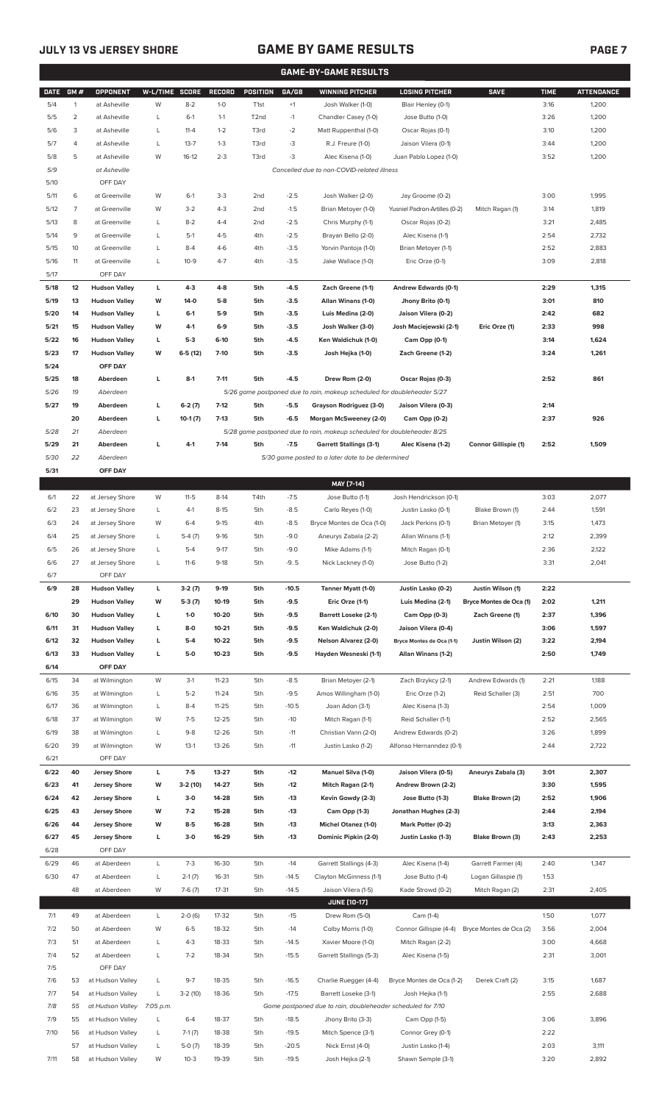# **JULY 13 VS JERSEY SHORE GAME BY GAME RESULTS**

|--|--|

| <b>GAME-BY-GAME RESULTS</b> |                |                                              |                |                   |                  |                   |                  |                                                                         |                                                  |                         |              |                   |
|-----------------------------|----------------|----------------------------------------------|----------------|-------------------|------------------|-------------------|------------------|-------------------------------------------------------------------------|--------------------------------------------------|-------------------------|--------------|-------------------|
| <b>DATE</b>                 | GM#            | OPPONENT                                     | W-L/TIME SCORE |                   | <b>RECORD</b>    | <b>POSITION</b>   | GA/GB            | <b>WINNING PITCHER</b>                                                  | <b>LOSING PITCHER</b>                            | <b>SAVE</b>             | <b>TIME</b>  | <b>ATTENDANCE</b> |
| 5/4                         | $\mathbf{1}$   | at Asheville                                 | W              | $8 - 2$           | $1-0$            | T <sub>1st</sub>  | $+1$             | Josh Walker (1-0)                                                       | Blair Henley (0-1)                               |                         | 3:16         | 1,200             |
| 5/5                         | $\overline{2}$ | at Asheville                                 | L              | $6-1$             | $1 - 1$          | T <sub>2</sub> nd | $-1$             | Chandler Casey (1-0)                                                    | Jose Butto (1-0)                                 |                         | 3:26         | 1,200             |
| 5/6                         | 3              | at Asheville                                 | L              | $11 - 4$          | $1 - 2$          | T3rd              | $-2$             | Matt Ruppenthal (1-0)                                                   | Oscar Rojas (0-1)                                |                         | 3:10         | 1,200             |
| 5/7                         | 4              | at Asheville                                 | L              | $13 - 7$          | $1 - 3$          | T3rd              | -3               | R.J. Freure (1-0)                                                       | Jaison Vilera (0-1)                              |                         | 3:44         | 1,200             |
| 5/8                         | 5              | at Asheville                                 | W              | $16-12$           | $2 - 3$          | T3rd              | -3               | Alec Kisena (1-0)                                                       | Juan Pablo Lopez (1-0)                           |                         | 3:52         | 1,200             |
| 5/9                         |                | at Asheville                                 |                |                   |                  |                   |                  | Cancelled due to non-COVID-related illness                              |                                                  |                         |              |                   |
| 5/10                        |                | OFF DAY                                      |                |                   |                  |                   |                  |                                                                         |                                                  |                         |              |                   |
| 5/11                        | 6              | at Greenville                                | W              | $6-1$             | $3 - 3$          | 2 <sub>nd</sub>   | $-2.5$           | Josh Walker (2-0)                                                       | Jay Groome (0-2)                                 |                         | 3:00         | 1,995             |
| 5/12                        | 7              | at Greenville                                | W              | $3-2$             | $4 - 3$          | 2 <sub>nd</sub>   | $-1.5$           | Brian Metoyer (1-0)                                                     | Yusniel Padron-Artilles (0-2)                    | Mitch Ragan (1)         | 3:14         | 1,819             |
| 5/13                        | 8              | at Greenville                                | L              | $8 - 2$           | $4 - 4$          | 2nd               | $-2.5$           | Chris Murphy (1-1)                                                      | Oscar Rojas (0-2)                                |                         | 3:21         | 2,485             |
| 5/14                        | 9              | at Greenville                                | L              | $5-1$             | $4 - 5$          | 4th               | $-2.5$           | Brayan Bello (2-0)                                                      | Alec Kisena (1-1)                                |                         | 2:54<br>2:52 | 2,732             |
| 5/15                        | 10             | at Greenville                                | L              | $8 - 4$           | $4-6$            | 4th               | $-3.5$           | Yorvin Pantoja (1-0)                                                    |                                                  | Brian Metoyer (1-1)     |              | 2,883             |
| 5/16                        | 11             | at Greenville                                | L              | $10 - 9$          | $4 - 7$          | 4th               | $-3.5$           | Jake Wallace (1-0)                                                      | Eric Orze (0-1)                                  |                         | 3:09         | 2,818             |
| 5/17                        |                | OFF DAY                                      |                |                   |                  |                   |                  |                                                                         |                                                  |                         |              |                   |
| 5/18<br>5/19                | 12             | <b>Hudson Valley</b>                         | L<br>W         | $4-3$<br>$14-0$   | $4 - 8$<br>$5-8$ | 5th               | $-4.5$           | Zach Greene (1-1)                                                       | Andrew Edwards (0-1)                             |                         | 2:29         | 1,315<br>810      |
| 5/20                        | 13             | <b>Hudson Valley</b><br><b>Hudson Valley</b> |                | $6-1$             | $5-9$            | 5th<br>5th        | $-3.5$<br>$-3.5$ | Allan Winans (1-0)<br>Luis Medina (2-0)                                 | Jhony Brito (0-1)<br>Jaison Vilera (0-2)         |                         | 3:01<br>2:42 | 682               |
| 5/21                        | 14<br>15       | <b>Hudson Valley</b>                         | L<br>W         | 4-1               | $6-9$            | 5th               | $-3.5$           | Josh Walker (3-0)                                                       | Josh Maciejewski (2-1)                           | Eric Orze (1)           | 2:33         | 998               |
| 5/22                        | 16             | <b>Hudson Valley</b>                         | L              | $5-3$             | $6-10$           | 5th               | $-4.5$           | Ken Waldichuk (1-0)                                                     | Cam Opp (0-1)                                    |                         | 3:14         | 1,624             |
| 5/23                        | 17             | <b>Hudson Valley</b>                         | W              | $6-5(12)$         | $7-10$           | 5th               | $-3.5$           | Josh Hejka (1-0)                                                        | Zach Greene (1-2)                                |                         | 3:24         | 1,261             |
| 5/24                        |                | OFF DAY                                      |                |                   |                  |                   |                  |                                                                         |                                                  |                         |              |                   |
| 5/25                        | 18             | Aberdeen                                     | L              | $8-1$             | $7 - 11$         | 5th               | $-4.5$           | Drew Rom (2-0)                                                          | Oscar Rojas (0-3)                                |                         | 2:52         | 861               |
| 5/26                        | 19             | Aberdeen                                     |                |                   |                  |                   |                  | 5/26 game postponed due to rain, makeup scheduled for doubleheader 5/27 |                                                  |                         |              |                   |
| 5/27                        | 19             | Aberdeen                                     | г              | $6-2(7)$          | $7-12$           | 5th               | $-5.5$           | Grayson Rodriguez (3-0)                                                 | Jaison Vilera (0-3)                              |                         | 2:14         |                   |
|                             | 20             | Aberdeen                                     | г              | $10-1(7)$         | $7-13$           | 5th               | $-6.5$           | Morgan McSweeney (2-0)                                                  | Cam Opp (0-2)                                    |                         | 2:37         | 926               |
| 5/28                        | 21             | Aberdeen                                     |                |                   |                  |                   |                  | 5/28 game postponed due to rain, makeup scheduled for doubleheader 8/25 |                                                  |                         |              |                   |
| 5/29                        | 21             | Aberdeen                                     | г              | $4-1$             | $7-14$           | 5th               | $-7.5$           | <b>Garrett Stallings (3-1)</b>                                          | Alec Kisena (1-2)                                | Connor Gillispie (1)    | 2:52         | 1,509             |
| 5/30                        | 22             | Aberdeen                                     |                |                   |                  |                   |                  | 5/30 game posted to a later date to be determined                       |                                                  |                         |              |                   |
| 5/31                        |                | OFF DAY                                      |                |                   |                  |                   |                  |                                                                         |                                                  |                         |              |                   |
|                             |                |                                              |                |                   |                  |                   |                  | MAY [7-14]                                                              |                                                  |                         |              |                   |
| 6/1                         | 22             | at Jersey Shore                              | W              | $11 - 5$          | $8-14$           | T4th              | $-7.5$           | Jose Butto (1-1)                                                        | Josh Hendrickson (0-1)                           |                         | 3:03         | 2,077             |
| 6/2                         | 23             | at Jersey Shore                              | L              | $4-1$             | $8 - 15$         | 5th               | $-8.5$           | Carlo Reyes (1-0)                                                       | Justin Lasko (0-1)                               | Blake Brown (1)         | 2:44         | 1,591             |
| 6/3                         | 24             | at Jersey Shore                              | W              | $6 - 4$           | $9-15$           | 4th               | $-8.5$           | Bryce Montes de Oca (1-0)                                               | Jack Perkins (0-1)                               | Brian Metoyer (1)       | 3:15         | 1,473             |
| 6/4                         | 25             | at Jersey Shore                              | L              | $5-4(7)$          | $9-16$           | 5th               | $-9.0$           | Aneurys Zabala (2-2)                                                    | Allan Winans (1-1)                               |                         | 2:12         | 2,399             |
| 6/5                         | 26             | at Jersey Shore                              | Г              | $5 - 4$           | $9 - 17$         | 5th               | $-9.0$           | Mike Adams (1-1)                                                        | Mitch Ragan (0-1)                                |                         | 2:36         | 2,122             |
| 6/6                         | 27             | at Jersey Shore                              | L              | $11-6$            | $9-18$           | 5th               | $-9.5$           | Nick Lackney (1-0)                                                      | Jose Butto (1-2)                                 |                         | 3:31         | 2,041             |
| $6/7$                       |                | OFF DAY                                      |                |                   |                  |                   |                  |                                                                         |                                                  |                         |              |                   |
| 6/9                         | 28             | <b>Hudson Valley</b>                         | L              | $3-2(7)$          | $9-19$           | 5th               | $-10.5$          | Tanner Myatt (1-0)                                                      | Justin Lasko (0-2)                               | Justin Wilson (1)       | 2:22         |                   |
|                             | 29             | <b>Hudson Valley</b>                         | W              | $5-3(7)$          | 10-19            | 5th               | $-9.5$           | Eric Orze (1-1)                                                         | Luis Medina (2-1)                                | Bryce Montes de Oca (1) | 2:02         | 1,211             |
| 6/10                        | 30             | <b>Hudson Valley</b>                         | L              | $1-0$             | 10-20            | 5th               | $-9.5$           | <b>Barrett Loseke (2-1)</b>                                             | Cam Opp (0-3)                                    | Zach Greene (1)         | 2:37         | 1,396             |
| 6/11                        | 31             | <b>Hudson Valley</b>                         | L              | $8-0$             | $10 - 21$        | 5th               | -9.5             | Ken Waldichuk (2-0)                                                     | Jaison Vilera (0-4)                              |                         | 3:06         | 1,597             |
| 6/12                        | 32             | <b>Hudson Valley</b>                         | г              | $5-4$             | 10-22            | 5th               | $-9.5$           | Nelson Alvarez (2-0)                                                    | Bryce Montes de Oca (1-1)                        | Justin Wilson (2)       | 3:22         | 2,194             |
| 6/13                        | 33             | <b>Hudson Valley</b>                         | г              | $5-0$             | $10 - 23$        | 5th               | $-9.5$           | Hayden Wesneski (1-1)                                                   | Allan Winans (1-2)                               |                         | 2:50         | 1,749             |
| 6/14                        |                | OFF DAY                                      |                |                   |                  |                   |                  |                                                                         |                                                  |                         |              |                   |
| 6/15                        | 34             | at Wilmington                                | W              | $3-1$             | $11 - 23$        | 5th               | $-8.5$           | Brian Metoyer (2-1)                                                     | Zach Brzykcy (2-1)                               | Andrew Edwards (1)      | 2:21         | 1,188             |
| 6/16                        | 35             | at Wilmington                                | L              | $5 - 2$           | $11 - 24$        | 5th               | $-9.5$           | Amos Willingham (1-0)                                                   | Eric Orze (1-2)                                  | Reid Schaller (3)       | 2:51         | 700               |
| 6/17                        | 36             | at Wilmington                                | L              | $8 - 4$           | $11 - 25$        | 5th               | $-10.5$          | Joan Adon (3-1)                                                         | Alec Kisena (1-3)                                |                         | 2:54         | 1,009             |
| 6/18                        | 37             | at Wilmington                                | W              | $7 - 5$           | $12 - 25$        | 5th               | $-10$            | Mitch Ragan (1-1)                                                       | Reid Schaller (1-1)                              |                         | 2:52         | 2,565             |
| 6/19<br>6/20                | 38<br>39       | at Wilmington<br>at Wilmington               | L<br>W         | $9 - 8$<br>$13-1$ | 12-26<br>13-26   | 5th<br>5th        | $-11$<br>$-11$   | Christian Vann (2-0)<br>Justin Lasko (1-2)                              | Andrew Edwards (0-2)<br>Alfonso Hernanndez (0-1) |                         | 3:26<br>2:44 | 1,899<br>2,722    |
| 6/21                        |                | OFF DAY                                      |                |                   |                  |                   |                  |                                                                         |                                                  |                         |              |                   |
| 6/22                        | 40             | <b>Jersey Shore</b>                          | L              | $7-5$             | 13-27            | 5th               | $-12$            | Manuel Silva (1-0)                                                      | Jaison Vilera (0-5)                              | Aneurys Zabala (3)      | 3:01         | 2,307             |
| 6/23                        | 41             | <b>Jersey Shore</b>                          | W              | $3-2(10)$         | 14-27            | 5th               | $-12$            | Mitch Ragan (2-1)                                                       | Andrew Brown (2-2)                               |                         | 3:30         | 1,595             |
| 6/24                        | 42             | <b>Jersey Shore</b>                          | L              | $3-0$             | 14-28            | 5th               | $-13$            | Kevin Gowdy (2-3)                                                       | Jose Butto (1-3)                                 | Blake Brown (2)         | 2:52         | 1,906             |
| 6/25                        | 43             | <b>Jersey Shore</b>                          | W              | $7-2$             | 15-28            | 5th               | $-13$            | Cam Opp (1-3)                                                           | Jonathan Hughes (2-3)                            |                         | 2:44         | 2,194             |
| 6/26                        | 44             | <b>Jersey Shore</b>                          | W              | $8-5$             | 16-28            | 5th               | $-13$            | Michel Otanez (1-0)                                                     | Mark Potter (0-2)                                |                         | 3:13         | 2,363             |
| 6/27                        | 45             | <b>Jersey Shore</b>                          | L              | $3-0$             | 16-29            | 5th               | $-13$            | Dominic Pipkin (2-0)                                                    | Justin Lasko (1-3)                               | Blake Brown (3)         | 2:43         | 2,253             |
| 6/28                        |                | OFF DAY                                      |                |                   |                  |                   |                  |                                                                         |                                                  |                         |              |                   |
| 6/29                        | 46             | at Aberdeen                                  | L              | $7-3$             | 16-30            | 5th               | $-14$            | Garrett Stallings (4-3)                                                 | Alec Kisena (1-4)                                | Garrett Farmer (4)      | 2:40         | 1,347             |
| 6/30                        | 47             | at Aberdeen                                  | L              | $2-1(7)$          | 16-31            | 5th               | $-14.5$          | Clayton McGinness (1-1)                                                 | Jose Butto (1-4)                                 | Logan Gillaspie (1)     | 1:53         |                   |
|                             | 48             | at Aberdeen                                  | W              | $7-6(7)$          | 17-31            | 5th               | $-14.5$          | Jaison Vilera (1-5)                                                     | Kade Strowd (0-2)                                | Mitch Ragan (2)         | 2:31         | 2,405             |
|                             |                |                                              |                |                   |                  |                   |                  | <b>JUNE [10-17]</b>                                                     |                                                  |                         |              |                   |
| 7/1                         | 49             | at Aberdeen                                  | L              | $2-0(6)$          | 17-32            | 5th               | $-15$            | Drew Rom (5-0)                                                          | Cam (1-4)                                        |                         | 1:50         | 1,077             |
| 7/2                         | 50             | at Aberdeen                                  | W              | $6 - 5$           | 18-32            | 5th               | $-14$            | Colby Morris (1-0)                                                      | Connor Gillispie (4-4)                           | Bryce Montes de Oca (2) | 3:56         | 2,004             |
| 7/3                         | 51             | at Aberdeen                                  | L              | $4 - 3$           | 18-33            | 5th               | $-14.5$          | Xavier Moore (1-0)                                                      | Mitch Ragan (2-2)                                |                         | 3:00         | 4,668             |
| 7/4                         | 52             | at Aberdeen                                  | L              | $7 - 2$           | 18-34            | 5th               | $-15.5$          | Garrett Stallings (5-3)                                                 | Alec Kisena (1-5)                                |                         | 2:31         | 3,001             |
| 7/5                         |                | OFF DAY                                      |                |                   |                  |                   |                  |                                                                         |                                                  |                         |              |                   |
| 7/6                         | 53             | at Hudson Valley                             | L              | $9 - 7$           | 18-35            | 5th               | $-16.5$          | Charlie Ruegger (4-4)                                                   | Bryce Montes de Oca (1-2)                        | Derek Craft (2)         | 3:15         | 1,687             |
| 7/7                         | 54             | at Hudson Valley                             | L              | $3-2(10)$         | 18-36            | 5th               | $-17.5$          | Barrett Loseke (3-1)                                                    | Josh Hejka (1-1)                                 |                         | 2:55         | 2,688             |
| 7/8                         | 55             | at Hudson Valley 7:05 p.m.                   |                |                   |                  |                   |                  | Game postponed due to rain, doubleheader scheduled for 7/10             |                                                  |                         |              |                   |
| 7/9                         | 55             | at Hudson Valley                             | L              | $6 - 4$           | 18-37            | 5th               | $-18.5$          | Jhony Brito (3-3)                                                       | Cam Opp (1-5)                                    |                         | 3:06         | 3,896             |
| 7/10                        | 56             | at Hudson Valley                             | L              | $7-1(7)$          | 18-38            | 5th               | $-19.5$          | Mitch Spence (3-1)                                                      | Connor Grey (0-1)                                |                         | 2:22         |                   |
|                             | 57             | at Hudson Valley                             | L              | $5-0(7)$          | 18-39            | 5th               | $-20.5$          | Nick Ernst (4-0)                                                        | Justin Lasko (1-4)                               |                         | 2:03         | 3,111             |
| 7/11                        |                | 58 at Hudson Valley                          | W              | $10-3$            | 19-39            | 5th               | $-19.5$          | Josh Hejka (2-1)                                                        | Shawn Semple (3-1)                               |                         | 3:20         | 2,892             |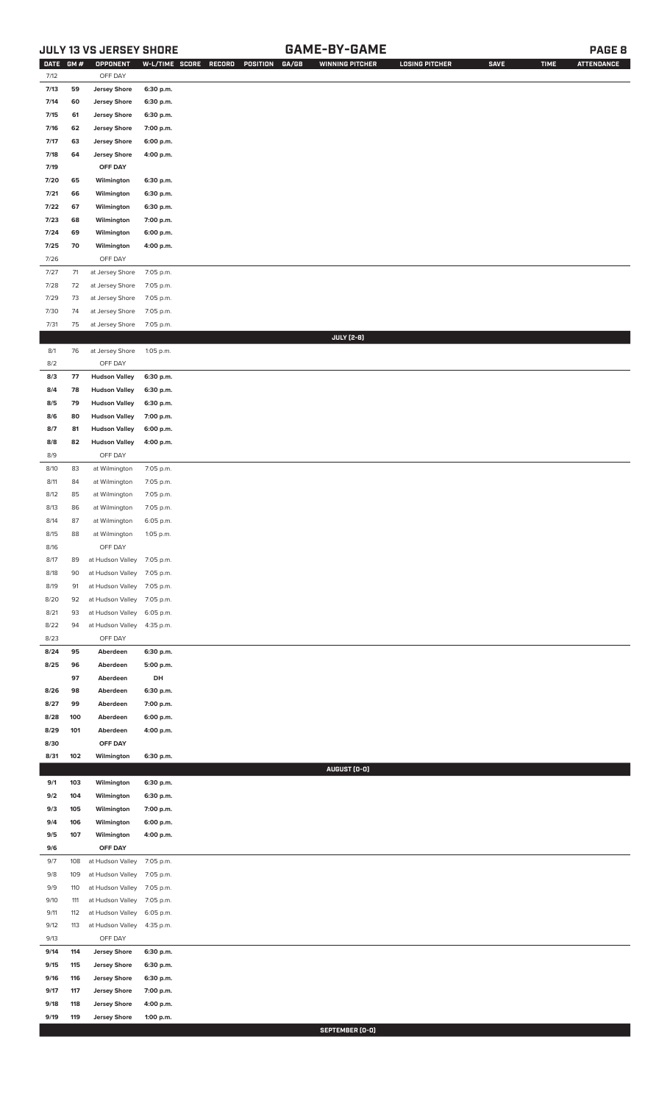# **JULY 13 VS JERSEY SHORE GAME-BY-GAME PAGE 8**

| DATE GM # |     | OPPONENT                   | W-L/TIME SCORE | RECORD | GA/GB<br>POSITION | <b>WINNING PITCHER</b> | <b>LOSING PITCHER</b> | <b>SAVE</b> | <b>TIME</b> | <b>ATTENDANCE</b> |
|-----------|-----|----------------------------|----------------|--------|-------------------|------------------------|-----------------------|-------------|-------------|-------------------|
| 7/12      |     | OFF DAY                    |                |        |                   |                        |                       |             |             |                   |
| 7/13      | 59  | <b>Jersey Shore</b>        | 6:30 p.m.      |        |                   |                        |                       |             |             |                   |
| 7/14      | 60  | <b>Jersey Shore</b>        | 6:30 p.m.      |        |                   |                        |                       |             |             |                   |
| 7/15      | 61  | <b>Jersey Shore</b>        | 6:30 p.m.      |        |                   |                        |                       |             |             |                   |
| 7/16      | 62  | <b>Jersey Shore</b>        | 7:00 p.m.      |        |                   |                        |                       |             |             |                   |
| 7/17      | 63  | <b>Jersey Shore</b>        | 6:00 p.m.      |        |                   |                        |                       |             |             |                   |
| 7/18      | 64  | <b>Jersey Shore</b>        | 4:00 p.m.      |        |                   |                        |                       |             |             |                   |
| 7/19      |     | OFF DAY                    |                |        |                   |                        |                       |             |             |                   |
| 7/20      | 65  | Wilmington                 | 6:30 p.m.      |        |                   |                        |                       |             |             |                   |
| 7/21      | 66  | Wilmington                 | 6:30 p.m.      |        |                   |                        |                       |             |             |                   |
| 7/22      | 67  | Wilmington                 | 6:30 p.m.      |        |                   |                        |                       |             |             |                   |
| 7/23      | 68  | Wilmington                 | 7:00 p.m.      |        |                   |                        |                       |             |             |                   |
| 7/24      | 69  | Wilmington                 | 6:00 p.m.      |        |                   |                        |                       |             |             |                   |
| 7/25      | 70  | Wilmington                 | 4:00 p.m.      |        |                   |                        |                       |             |             |                   |
| 7/26      |     | OFF DAY                    |                |        |                   |                        |                       |             |             |                   |
| 7/27      | 71  | at Jersey Shore            | 7:05 p.m.      |        |                   |                        |                       |             |             |                   |
| 7/28      | 72  | at Jersey Shore            | 7:05 p.m.      |        |                   |                        |                       |             |             |                   |
| 7/29      | 73  | at Jersey Shore            | 7:05 p.m.      |        |                   |                        |                       |             |             |                   |
| 7/30      | 74  | at Jersey Shore            | 7:05 p.m.      |        |                   |                        |                       |             |             |                   |
| 7/31      | 75  | at Jersey Shore            | 7:05 p.m.      |        |                   |                        |                       |             |             |                   |
|           |     |                            |                |        |                   | <b>JULY</b> [2-8]      |                       |             |             |                   |
| 8/1       | 76  | at Jersey Shore            | 1:05 p.m.      |        |                   |                        |                       |             |             |                   |
| 8/2       |     | OFF DAY                    |                |        |                   |                        |                       |             |             |                   |
| 8/3       | 77  | <b>Hudson Valley</b>       | 6:30 p.m.      |        |                   |                        |                       |             |             |                   |
| 8/4       | 78  | <b>Hudson Valley</b>       | 6:30 p.m.      |        |                   |                        |                       |             |             |                   |
| 8/5       | 79  | <b>Hudson Valley</b>       | 6:30 p.m.      |        |                   |                        |                       |             |             |                   |
| 8/6       | 80  | <b>Hudson Valley</b>       |                |        |                   |                        |                       |             |             |                   |
|           |     |                            | 7:00 p.m.      |        |                   |                        |                       |             |             |                   |
| 8/7       | 81  | <b>Hudson Valley</b>       | 6:00 p.m.      |        |                   |                        |                       |             |             |                   |
| 8/8       | 82  | <b>Hudson Valley</b>       | 4:00 p.m.      |        |                   |                        |                       |             |             |                   |
| 8/9       |     | OFF DAY                    |                |        |                   |                        |                       |             |             |                   |
| 8/10      | 83  | at Wilmington              | 7:05 p.m.      |        |                   |                        |                       |             |             |                   |
| 8/11      | 84  | at Wilmington              | 7:05 p.m.      |        |                   |                        |                       |             |             |                   |
| 8/12      | 85  | at Wilmington              | 7:05 p.m.      |        |                   |                        |                       |             |             |                   |
| 8/13      | 86  | at Wilmington              | 7:05 p.m.      |        |                   |                        |                       |             |             |                   |
| 8/14      | 87  | at Wilmington              | 6:05 p.m.      |        |                   |                        |                       |             |             |                   |
| 8/15      | 88  | at Wilmington              | 1:05 p.m.      |        |                   |                        |                       |             |             |                   |
| 8/16      |     | OFF DAY                    |                |        |                   |                        |                       |             |             |                   |
| 8/17      | 89  | at Hudson Valley 7:05 p.m. |                |        |                   |                        |                       |             |             |                   |
| 8/18      | 90  | at Hudson Valley           | 7:05 p.m.      |        |                   |                        |                       |             |             |                   |
| 8/19      | 91  | at Hudson Valley           | 7:05 p.m.      |        |                   |                        |                       |             |             |                   |
| 8/20      | 92  | at Hudson Valley           | 7:05 p.m.      |        |                   |                        |                       |             |             |                   |
| 8/21      | 93  | at Hudson Valley           | 6:05 p.m.      |        |                   |                        |                       |             |             |                   |
| 8/22      | 94  | at Hudson Valley           | 4:35 p.m.      |        |                   |                        |                       |             |             |                   |
| 8/23      |     | OFF DAY                    |                |        |                   |                        |                       |             |             |                   |
| 8/24      | 95  | Aberdeen                   | 6:30 p.m.      |        |                   |                        |                       |             |             |                   |
| 8/25      | 96  | Aberdeen                   | 5:00 p.m.      |        |                   |                        |                       |             |             |                   |
|           | 97  | Aberdeen                   | DH             |        |                   |                        |                       |             |             |                   |
| 8/26      | 98  | Aberdeen                   | 6:30 p.m.      |        |                   |                        |                       |             |             |                   |
| 8/27      | 99  | Aberdeen                   | 7:00 p.m.      |        |                   |                        |                       |             |             |                   |
| 8/28      | 100 | Aberdeen                   | 6:00 p.m.      |        |                   |                        |                       |             |             |                   |
| 8/29      | 101 | Aberdeen                   | 4:00 p.m.      |        |                   |                        |                       |             |             |                   |
| 8/30      |     | OFF DAY                    |                |        |                   |                        |                       |             |             |                   |
| 8/31      | 102 | Wilmington                 | 6:30 p.m.      |        |                   |                        |                       |             |             |                   |
|           |     |                            |                |        |                   | AUGUST (0-0)           |                       |             |             |                   |
| 9/1       | 103 | Wilmington                 | 6:30 p.m.      |        |                   |                        |                       |             |             |                   |
| 9/2       | 104 | Wilmington                 | 6:30 p.m.      |        |                   |                        |                       |             |             |                   |
| 9/3       | 105 | Wilmington                 | 7:00 p.m.      |        |                   |                        |                       |             |             |                   |
| 9/4       | 106 | Wilmington                 | 6:00 p.m.      |        |                   |                        |                       |             |             |                   |
| 9/5       | 107 | Wilmington                 | 4:00 p.m.      |        |                   |                        |                       |             |             |                   |
| 9/6       |     | OFF DAY                    |                |        |                   |                        |                       |             |             |                   |
| 9/7       | 108 | at Hudson Valley           | 7:05 p.m.      |        |                   |                        |                       |             |             |                   |
| 9/8       | 109 | at Hudson Valley           | 7:05 p.m.      |        |                   |                        |                       |             |             |                   |
| 9/9       | 110 | at Hudson Valley           | 7:05 p.m.      |        |                   |                        |                       |             |             |                   |
| 9/10      | 111 | at Hudson Valley           | 7:05 p.m.      |        |                   |                        |                       |             |             |                   |
| 9/11      | 112 | at Hudson Valley           | 6:05 p.m.      |        |                   |                        |                       |             |             |                   |
| 9/12      | 113 | at Hudson Valley           | 4:35 p.m.      |        |                   |                        |                       |             |             |                   |
| 9/13      |     | OFF DAY                    |                |        |                   |                        |                       |             |             |                   |
| 9/14      | 114 | <b>Jersey Shore</b>        | 6:30 p.m.      |        |                   |                        |                       |             |             |                   |
| 9/15      | 115 | <b>Jersey Shore</b>        | 6:30 p.m.      |        |                   |                        |                       |             |             |                   |
| 9/16      | 116 | <b>Jersey Shore</b>        | 6:30 p.m.      |        |                   |                        |                       |             |             |                   |
| 9/17      | 117 | <b>Jersey Shore</b>        | 7:00 p.m.      |        |                   |                        |                       |             |             |                   |
| 9/18      | 118 | <b>Jersey Shore</b>        | 4:00 p.m.      |        |                   |                        |                       |             |             |                   |
| 9/19      | 119 | <b>Jersey Shore</b>        | 1:00 p.m.      |        |                   |                        |                       |             |             |                   |
|           |     |                            |                |        |                   |                        |                       |             |             |                   |

**SEPTEMBER (0-0)**